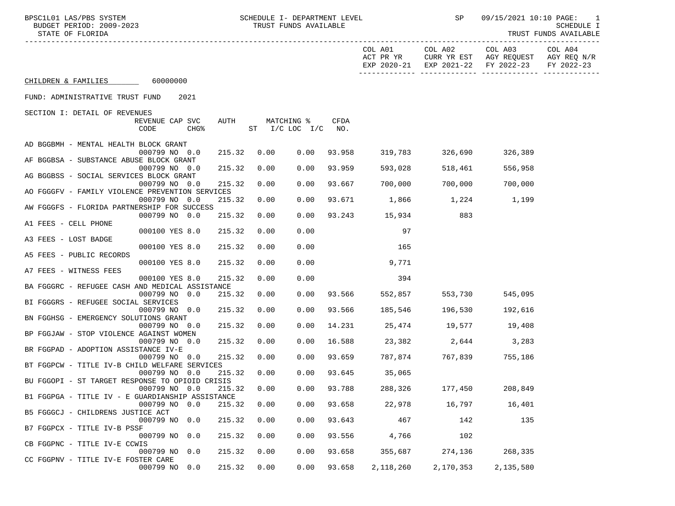| BPSC1L01 LAS/PBS SYSTEM<br>BUDGET PERIOD: 2009-2023<br>STATE OF FLORIDA |        | SCHEDULE I- DEPARTMENT LEVEL<br>TRUST FUNDS AVAILABLE |      |                         |                                     | SP                   |                                                                          | 09/15/2021 10:10 PAGE: 1<br>SCHEDULE I<br>TRUST FUNDS AVAILABLE |
|-------------------------------------------------------------------------|--------|-------------------------------------------------------|------|-------------------------|-------------------------------------|----------------------|--------------------------------------------------------------------------|-----------------------------------------------------------------|
|                                                                         |        |                                                       |      |                         | COL A01<br>ACT PR YR<br>EXP 2020-21 | COL A02              | COL A03<br>CURR YR EST AGY REQUEST AGY REQ N/R<br>EXP 2021-22 FY 2022-23 | COL A04<br>FY 2022-23                                           |
| CHILDREN & FAMILIES 60000000                                            |        |                                                       |      |                         |                                     |                      |                                                                          |                                                                 |
| FUND: ADMINISTRATIVE TRUST FUND<br>2021                                 |        |                                                       |      |                         |                                     |                      |                                                                          |                                                                 |
| SECTION I: DETAIL OF REVENUES                                           |        |                                                       |      |                         |                                     |                      |                                                                          |                                                                 |
| REVENUE CAP SVC<br>AUTH<br>CODE<br>CHG <sup>8</sup>                     |        | MATCHING %<br>ST I/C LOC I/C                          |      | CFDA<br>NO <sub>z</sub> |                                     |                      |                                                                          |                                                                 |
| AD BGGBMH - MENTAL HEALTH BLOCK GRANT                                   |        |                                                       |      |                         |                                     |                      |                                                                          |                                                                 |
| 000799 NO 0.0<br>AF BGGBSA - SUBSTANCE ABUSE BLOCK GRANT                | 215.32 | 0.00                                                  | 0.00 | 93.958                  | 319,783                             | 326,690              | 326,389                                                                  |                                                                 |
| 000799 NO 0.0                                                           | 215.32 | 0.00                                                  | 0.00 | 93.959                  | 593,028                             | 518,461              | 556,958                                                                  |                                                                 |
| AG BGGBSS - SOCIAL SERVICES BLOCK GRANT<br>000799 NO 0.0                | 215.32 | 0.00                                                  | 0.00 | 93.667                  | 700,000                             | 700,000              | 700,000                                                                  |                                                                 |
| AO FGGGFV - FAMILY VIOLENCE PREVENTION SERVICES<br>000799 NO 0.0        | 215.32 | 0.00                                                  | 0.00 | 93.671                  |                                     | 1,866 1,224 1,199    |                                                                          |                                                                 |
| AW FGGGFS - FLORIDA PARTNERSHIP FOR SUCCESS                             |        |                                                       |      |                         |                                     |                      |                                                                          |                                                                 |
| 000799 NO 0.0<br>A1 FEES - CELL PHONE                                   | 215.32 | 0.00                                                  | 0.00 |                         | 93.243 15,934                       | 883                  |                                                                          |                                                                 |
| 000100 YES 8.0<br>A3 FEES - LOST BADGE                                  | 215.32 | 0.00                                                  | 0.00 |                         | 97                                  |                      |                                                                          |                                                                 |
| 000100 YES 8.0                                                          | 215.32 | 0.00                                                  | 0.00 |                         | 165                                 |                      |                                                                          |                                                                 |
| A5 FEES - PUBLIC RECORDS<br>000100 YES 8.0                              | 215.32 | 0.00                                                  | 0.00 |                         | 9,771                               |                      |                                                                          |                                                                 |
| A7 FEES - WITNESS FEES                                                  |        |                                                       |      |                         |                                     |                      |                                                                          |                                                                 |
| 000100 YES 8.0<br>BA FGGGRC - REFUGEE CASH AND MEDICAL ASSISTANCE       | 215.32 | 0.00                                                  | 0.00 |                         | 394                                 |                      |                                                                          |                                                                 |
| 000799 NO 0.0<br>BI FGGGRS - REFUGEE SOCIAL SERVICES                    | 215.32 | 0.00                                                  | 0.00 | 93.566                  | 552,857                             | 553,730              | 545,095                                                                  |                                                                 |
| 000799 NO 0.0                                                           | 215.32 | 0.00                                                  | 0.00 | 93.566                  | 185,546                             | 196,530              | 192,616                                                                  |                                                                 |
| BN FGGHSG - EMERGENCY SOLUTIONS GRANT<br>000799 NO 0.0                  | 215.32 | 0.00                                                  | 0.00 | 14.231                  |                                     | 25,474 19,577 19,408 |                                                                          |                                                                 |
| BP FGGJAW - STOP VIOLENCE AGAINST WOMEN                                 |        |                                                       |      |                         |                                     |                      |                                                                          |                                                                 |
| 000799 NO 0.0<br>BR FGGPAD - ADOPTION ASSISTANCE IV-E                   | 215.32 | 0.00                                                  | 0.00 | 16.588                  |                                     | 23,382 2,644 3,283   |                                                                          |                                                                 |
| 000799 NO 0.0<br>BT FGGPCW - TITLE IV-B CHILD WELFARE SERVICES          | 215.32 | 0.00                                                  | 0.00 | 93.659                  |                                     | 787,874 767,839      | 755,186                                                                  |                                                                 |
| 000799 NO 0.0                                                           | 215.32 | 0.00                                                  | 0.00 | 93.645                  | 35,065                              |                      |                                                                          |                                                                 |
| BU FGGOPI - ST TARGET RESPONSE TO OPIOID CRISIS<br>000799 NO 0.0        | 215.32 | 0.00                                                  | 0.00 | 93.788                  | 288,326                             | 177,450              | 208,849                                                                  |                                                                 |
| B1 FGGPGA - TITLE IV - E GUARDIANSHIP ASSISTANCE<br>000799 NO 0.0       | 215.32 | 0.00                                                  | 0.00 | 93.658                  | 22,978                              | 16,797               | 16,401                                                                   |                                                                 |
| B5 FGGGCJ - CHILDRENS JUSTICE ACT                                       |        |                                                       |      |                         |                                     |                      |                                                                          |                                                                 |
| 000799 NO 0.0<br>B7 FGGPCX - TITLE IV-B PSSF                            | 215.32 | 0.00                                                  | 0.00 | 93.643                  | 467                                 | 142                  | 135                                                                      |                                                                 |
| 000799 NO<br>0.0<br>CB FGGPNC - TITLE IV-E CCWIS                        | 215.32 | 0.00                                                  | 0.00 | 93.556                  | 4,766                               | 102                  |                                                                          |                                                                 |
| 000799 NO 0.0                                                           | 215.32 | 0.00                                                  | 0.00 | 93.658                  | 355,687                             | 274,136              | 268,335                                                                  |                                                                 |
| CC FGGPNV - TITLE IV-E FOSTER CARE<br>000799 NO 0.0                     | 215.32 | 0.00                                                  | 0.00 | 93.658                  | 2,118,260                           | 2,170,353            | 2,135,580                                                                |                                                                 |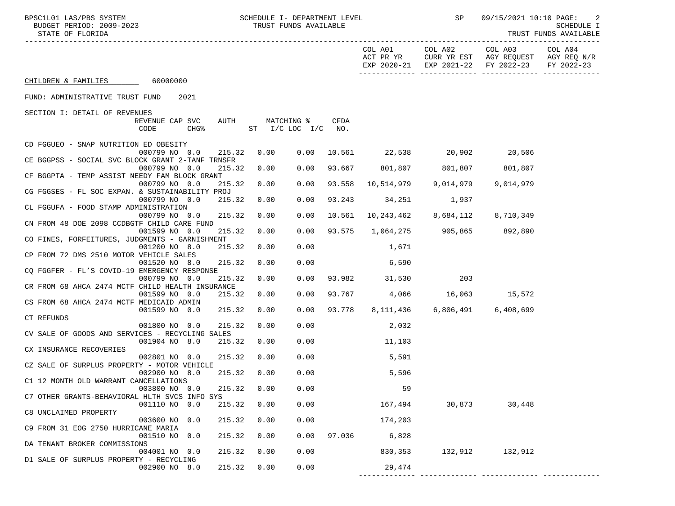| SCHEDULE I- DEPARTMENT LEVEL<br>BPSC1L01 LAS/PBS SYSTEM<br>BUDGET PERIOD: 2009-2023<br>STATE OF FLORIDA |      | TRUST FUNDS AVAILABLE              |                    |                                  | <b>SP</b>                     | 09/15/2021 10:10 PAGE:                                                                                            | $\overline{2}$<br>SCHEDULE I<br>TRUST FUNDS AVAILABLE |
|---------------------------------------------------------------------------------------------------------|------|------------------------------------|--------------------|----------------------------------|-------------------------------|-------------------------------------------------------------------------------------------------------------------|-------------------------------------------------------|
|                                                                                                         |      |                                    |                    | COL A01 COL A02                  |                               | COL A03 COL A04<br>ACT PR YR CURR YR EST AGY REQUEST AGY REQ N/R<br>EXP 2020-21 EXP 2021-22 FY 2022-23 FY 2022-23 |                                                       |
| CHILDREN & FAMILIES 60000000                                                                            |      |                                    |                    |                                  |                               |                                                                                                                   |                                                       |
| FUND: ADMINISTRATIVE TRUST FUND<br>2021                                                                 |      |                                    |                    |                                  |                               |                                                                                                                   |                                                       |
| SECTION I: DETAIL OF REVENUES                                                                           |      |                                    |                    |                                  |                               |                                                                                                                   |                                                       |
| REVENUE CAP SVC<br>AUTH<br>CODE<br>CHG <sup>8</sup>                                                     |      | MATCHING %<br>$ST$ $I/C$ LOC $I/C$ | <b>CFDA</b><br>NO. |                                  |                               |                                                                                                                   |                                                       |
| CD FGGUEO - SNAP NUTRITION ED OBESITY                                                                   |      |                                    |                    |                                  |                               |                                                                                                                   |                                                       |
| 000799 NO 0.0<br>215.32<br>CE BGGPSS - SOCIAL SVC BLOCK GRANT 2-TANF TRNSFR                             | 0.00 | 0.00                               |                    | 10.561 22,538 20,902 20,506      |                               |                                                                                                                   |                                                       |
| 000799 NO 0.0<br>215.32                                                                                 | 0.00 | 0.00                               |                    | 93.667 801,807 801,807 801,807   |                               |                                                                                                                   |                                                       |
| CF BGGPTA - TEMP ASSIST NEEDY FAM BLOCK GRANT                                                           |      |                                    |                    |                                  |                               |                                                                                                                   |                                                       |
| 000799 NO 0.0<br>215.32<br>CG FGGSES - FL SOC EXPAN. & SUSTAINABILITY PROJ                              | 0.00 | 0.00                               | 93.558             |                                  | 10,514,979 9,014,979          | 9,014,979                                                                                                         |                                                       |
| 000799 NO 0.0<br>215.32                                                                                 | 0.00 | 0.00                               | 93.243             | 34,251 1,937                     |                               |                                                                                                                   |                                                       |
| CL FGGUFA - FOOD STAMP ADMINISTRATION                                                                   |      |                                    |                    |                                  |                               |                                                                                                                   |                                                       |
| 000799 NO 0.0<br>215.32                                                                                 | 0.00 | 0.00                               | 10.561             |                                  | 10,243,462 8,684,112          | 8,710,349                                                                                                         |                                                       |
| CN FROM 48 DOE 2098 CCDBGTF CHILD CARE FUND<br>001599 NO 0.0<br>215.32                                  | 0.00 | 0.00                               |                    | 93.575 1,064,275 905,865 892,890 |                               |                                                                                                                   |                                                       |
| CO FINES, FORFEITURES, JUDGMENTS - GARNISHMENT                                                          |      |                                    |                    |                                  |                               |                                                                                                                   |                                                       |
| 001200 NO 8.0<br>215.32                                                                                 | 0.00 | 0.00                               |                    | 1,671                            |                               |                                                                                                                   |                                                       |
| CP FROM 72 DMS 2510 MOTOR VEHICLE SALES                                                                 |      |                                    |                    |                                  |                               |                                                                                                                   |                                                       |
| 001520 NO 8.0<br>215.32                                                                                 | 0.00 | 0.00                               |                    | 6,590                            |                               |                                                                                                                   |                                                       |
| CQ FGGFER - FL'S COVID-19 EMERGENCY RESPONSE                                                            |      |                                    |                    |                                  |                               |                                                                                                                   |                                                       |
| 000799 NO 0.0<br>215.32<br>CR FROM 68 AHCA 2474 MCTF CHILD HEALTH INSURANCE                             | 0.00 | 0.00                               |                    | 93.982 31,530                    | 203                           |                                                                                                                   |                                                       |
| 001599 NO 0.0<br>215.32                                                                                 | 0.00 | 0.00                               |                    | 93.767 4,066 16,063 15,572       |                               |                                                                                                                   |                                                       |
| CS FROM 68 AHCA 2474 MCTF MEDICAID ADMIN                                                                |      |                                    |                    |                                  |                               |                                                                                                                   |                                                       |
| 001599 NO 0.0<br>215.32                                                                                 | 0.00 | 0.00                               | 93.778             |                                  | 8,111,436 6,806,491 6,408,699 |                                                                                                                   |                                                       |
| CT REFUNDS                                                                                              |      |                                    |                    |                                  |                               |                                                                                                                   |                                                       |
| 215.32<br>001800 NO 0.0                                                                                 | 0.00 | 0.00                               |                    | 2,032                            |                               |                                                                                                                   |                                                       |
| CV SALE OF GOODS AND SERVICES - RECYCLING SALES                                                         |      |                                    |                    |                                  |                               |                                                                                                                   |                                                       |
| 001904 NO 8.0<br>215.32                                                                                 | 0.00 | 0.00                               |                    | 11, 103                          |                               |                                                                                                                   |                                                       |
| CX INSURANCE RECOVERIES                                                                                 |      |                                    |                    |                                  |                               |                                                                                                                   |                                                       |
| 002801 NO 0.0<br>215.32                                                                                 | 0.00 | 0.00                               |                    | 5,591                            |                               |                                                                                                                   |                                                       |
| CZ SALE OF SURPLUS PROPERTY - MOTOR VEHICLE                                                             |      |                                    |                    |                                  |                               |                                                                                                                   |                                                       |
| 002900 NO 8.0<br>215.32<br>C1 12 MONTH OLD WARRANT CANCELLATIONS                                        | 0.00 | 0.00                               |                    | 5,596                            |                               |                                                                                                                   |                                                       |
| 003800 NO 0.0<br>215.32                                                                                 | 0.00 | 0.00                               |                    | 59                               |                               |                                                                                                                   |                                                       |
| C7 OTHER GRANTS-BEHAVIORAL HLTH SVCS INFO SYS                                                           |      |                                    |                    |                                  |                               |                                                                                                                   |                                                       |
| .                                                                                                       | .    |                                    |                    |                                  |                               |                                                                                                                   |                                                       |

| UU38UU NO U.U                                 | 215.32 | U.UU | U.UU |        | צפ      |         |         |  |
|-----------------------------------------------|--------|------|------|--------|---------|---------|---------|--|
| C7 OTHER GRANTS-BEHAVIORAL HLTH SVCS INFO SYS |        |      |      |        |         |         |         |  |
| 001110 NO 0.0                                 | 215.32 | 0.00 | 0.00 |        | 167,494 | 30,873  | 30,448  |  |
| C8 UNCLAIMED PROPERTY                         |        |      |      |        |         |         |         |  |
| 003600 NO 0.0                                 | 215.32 | 0.00 | 0.00 |        | 174,203 |         |         |  |
| C9 FROM 31 EOG 2750 HURRICANE MARIA           |        |      |      |        |         |         |         |  |
| 001510 NO 0.0                                 | 215.32 | 0.00 | 0.00 | 97.036 | 6,828   |         |         |  |
| DA TENANT BROKER COMMISSIONS                  |        |      |      |        |         |         |         |  |
| 004001 NO 0.0                                 | 215.32 | 0.00 | 0.00 |        | 830,353 | 132,912 | 132,912 |  |
| D1 SALE OF SURPLUS PROPERTY - RECYCLING       |        |      |      |        |         |         |         |  |
| 002900 NO 8.0                                 | 215.32 | 0.00 | 0.00 |        | 29,474  |         |         |  |
|                                               |        |      |      |        |         |         |         |  |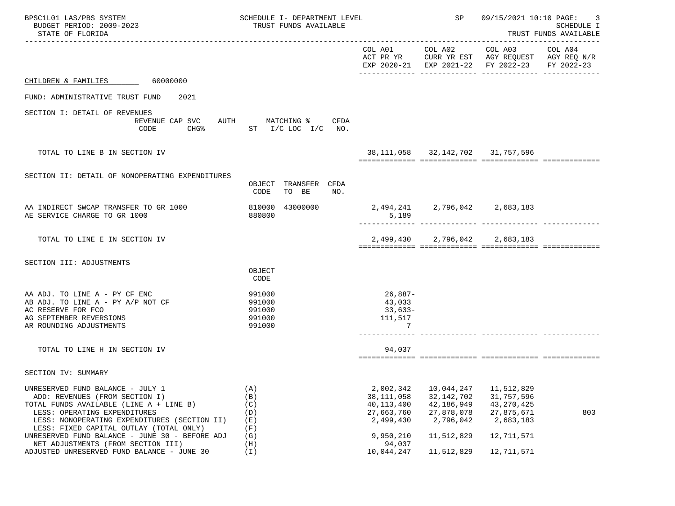| BPSC1L01 LAS/PBS SYSTEM<br>BUDGET PERIOD: 2009-2023<br>STATE OF FLORIDA                                                                                                                                                                  | SCHEDULE I- DEPARTMENT LEVEL<br>TRUST FUNDS AVAILABLE           |                                                                      | SP                                                                  | 09/15/2021 10:10 PAGE:<br>SCHEDULE I<br>TRUST FUNDS AVAILABLE                                                  |                       |  |
|------------------------------------------------------------------------------------------------------------------------------------------------------------------------------------------------------------------------------------------|-----------------------------------------------------------------|----------------------------------------------------------------------|---------------------------------------------------------------------|----------------------------------------------------------------------------------------------------------------|-----------------------|--|
|                                                                                                                                                                                                                                          |                                                                 |                                                                      |                                                                     | COL A01 COL A02 COL A03<br>ACT PR YR CURR YR EST AGY REQUEST AGY REQ N/R<br>EXP 2020-21 EXP 2021-22 FY 2022-23 | COL A04<br>FY 2022-23 |  |
| CHILDREN & FAMILIES 60000000                                                                                                                                                                                                             |                                                                 |                                                                      |                                                                     |                                                                                                                |                       |  |
| FUND: ADMINISTRATIVE TRUST FUND<br>2021                                                                                                                                                                                                  |                                                                 |                                                                      |                                                                     |                                                                                                                |                       |  |
| SECTION I: DETAIL OF REVENUES<br>REVENUE CAP SVC<br>CODE                                                                                                                                                                                 | AUTH MATCHING % CFDA<br>CHG <sup>&amp;</sup> ST I/C LOC I/C NO. |                                                                      |                                                                     |                                                                                                                |                       |  |
| TOTAL TO LINE B IN SECTION IV                                                                                                                                                                                                            |                                                                 |                                                                      |                                                                     | 38, 111, 058 32, 142, 702 31, 757, 596                                                                         |                       |  |
| SECTION II: DETAIL OF NONOPERATING EXPENDITURES                                                                                                                                                                                          | TRANSFER CFDA<br>OBJECT                                         |                                                                      |                                                                     |                                                                                                                |                       |  |
|                                                                                                                                                                                                                                          | TO BE<br>CODE<br>NO.                                            |                                                                      |                                                                     |                                                                                                                |                       |  |
| AA INDIRECT SWCAP TRANSFER TO GR 1000<br>AE SERVICE CHARGE TO GR 1000                                                                                                                                                                    | 43000000<br>810000<br>880800                                    | 2,494,241 2,796,042 2,683,183<br>5,189                               |                                                                     |                                                                                                                |                       |  |
| TOTAL TO LINE E IN SECTION IV                                                                                                                                                                                                            |                                                                 |                                                                      |                                                                     | 2,499,430 2,796,042 2,683,183                                                                                  |                       |  |
| SECTION III: ADJUSTMENTS                                                                                                                                                                                                                 | OBJECT<br>CODE                                                  |                                                                      |                                                                     |                                                                                                                |                       |  |
| AA ADJ. TO LINE A - PY CF ENC<br>AB ADJ. TO LINE A - PY A/P NOT CF<br>AC RESERVE FOR FCO<br>AG SEPTEMBER REVERSIONS<br>AR ROUNDING ADJUSTMENTS                                                                                           | 991000<br>991000<br>991000<br>991000<br>991000                  | $26,887-$<br>43,033<br>$33,633-$<br>111,517<br>7                     |                                                                     |                                                                                                                |                       |  |
| TOTAL TO LINE H IN SECTION IV                                                                                                                                                                                                            |                                                                 | 94,037                                                               |                                                                     |                                                                                                                |                       |  |
| SECTION IV: SUMMARY                                                                                                                                                                                                                      |                                                                 |                                                                      |                                                                     |                                                                                                                |                       |  |
| UNRESERVED FUND BALANCE - JULY 1<br>ADD: REVENUES (FROM SECTION I)<br>TOTAL FUNDS AVAILABLE (LINE A + LINE B)<br>LESS: OPERATING EXPENDITURES<br>LESS: NONOPERATING EXPENDITURES (SECTION II)<br>LESS: FIXED CAPITAL OUTLAY (TOTAL ONLY) | (A)<br>(B)<br>(C)<br>(D)<br>(E)<br>(F)                          | 2,002,342<br>38, 111, 058<br>40, 113, 400<br>27,663,760<br>2,499,430 | 10,044,247<br>32, 142, 702<br>42,186,949<br>27,878,078<br>2,796,042 | 11,512,829<br>31,757,596<br>43, 270, 425<br>27,875,671<br>2,683,183                                            | 803                   |  |
| UNRESERVED FUND BALANCE - JUNE 30 - BEFORE ADJ<br>NET ADJUSTMENTS (FROM SECTION III)<br>ADJUSTED UNRESERVED FUND BALANCE - JUNE 30                                                                                                       | (G)<br>(H)<br>(T)                                               | 9,950,210<br>94,037<br>10,044,247                                    | 11,512,829<br>11,512,829                                            | 12,711,571<br>12,711,571                                                                                       |                       |  |
|                                                                                                                                                                                                                                          |                                                                 |                                                                      |                                                                     |                                                                                                                |                       |  |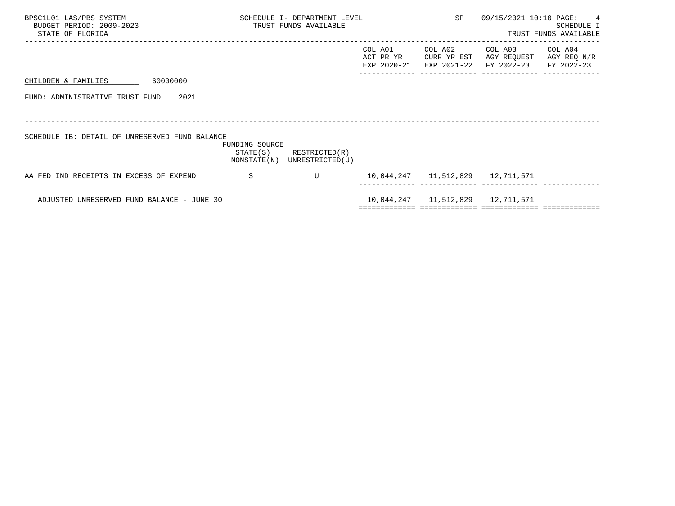| BPSC1L01 LAS/PBS SYSTEM<br>BUDGET PERIOD: 2009-2023<br>STATE OF FLORIDA |                | SCHEDULE I- DEPARTMENT LEVEL<br>TRUST FUNDS AVAILABLE      |                                     | SP                                    | 09/15/2021 10:10 PAGE:               | $\overline{4}$<br>SCHEDULE I<br>TRUST FUNDS AVAILABLE |
|-------------------------------------------------------------------------|----------------|------------------------------------------------------------|-------------------------------------|---------------------------------------|--------------------------------------|-------------------------------------------------------|
|                                                                         |                |                                                            | COL A01<br>ACT PR YR<br>EXP 2020-21 | COL A02<br>CURR YR EST<br>EXP 2021-22 | COL A03<br>AGY REQUEST<br>FY 2022-23 | COL A04<br>AGY REQ N/R<br>FY 2022-23                  |
| 60000000<br>CHILDREN & FAMILIES                                         |                |                                                            |                                     |                                       |                                      |                                                       |
| FUND: ADMINISTRATIVE TRUST FUND<br>2021                                 |                |                                                            |                                     |                                       |                                      |                                                       |
|                                                                         |                |                                                            |                                     |                                       |                                      |                                                       |
| SCHEDULE IB: DETAIL OF UNRESERVED FUND BALANCE                          | FUNDING SOURCE | $STATE(S)$ RESTRICTED $(R)$<br>NONSTATE(N) UNRESTRICTED(U) |                                     |                                       |                                      |                                                       |
| AA FED IND RECEIPTS IN EXCESS OF EXPEND                                 | -S             | U                                                          |                                     |                                       | 10,044,247   11,512,829   12,711,571 |                                                       |
| ADJUSTED UNRESERVED FUND BALANCE - JUNE 30                              |                |                                                            |                                     | 10,044,247   11,512,829   12,711,571  |                                      |                                                       |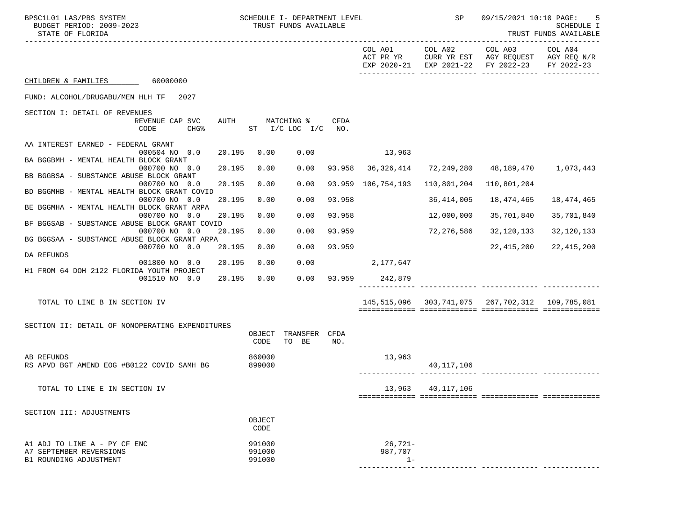| BPSC1L01 LAS/PBS SYSTEM<br>BUDGET PERIOD: 2009-2023<br>STATE OF FLORIDA |                         |        |                  | SCHEDULE I- DEPARTMENT LEVEL<br>TRUST FUNDS AVAILABLE |        |                     | <b>SP</b>   | 09/15/2021 10:10 PAGE:                                                                                 | 5<br><b>SCHEDULE I</b><br>TRUST FUNDS AVAILABLE |
|-------------------------------------------------------------------------|-------------------------|--------|------------------|-------------------------------------------------------|--------|---------------------|-------------|--------------------------------------------------------------------------------------------------------|-------------------------------------------------|
|                                                                         |                         |        |                  |                                                       |        | COL A01             |             | COL A02 COL A03<br>ACT PR YR CURR YR EST AGY REQUEST AGY REQ N/R<br>EXP 2020-21 EXP 2021-22 FY 2022-23 | COL A04<br>FY 2022-23                           |
| CHILDREN & FAMILIES 60000000                                            |                         |        |                  |                                                       |        |                     |             |                                                                                                        |                                                 |
| FUND: ALCOHOL/DRUGABU/MEN HLH TF 2027                                   |                         |        |                  |                                                       |        |                     |             |                                                                                                        |                                                 |
| SECTION I: DETAIL OF REVENUES                                           |                         |        |                  |                                                       |        |                     |             |                                                                                                        |                                                 |
|                                                                         | REVENUE CAP SVC<br>CODE | $CHG\$ | AUTH             | MATCHING %<br>ST I/C LOC I/C NO.                      | CFDA   |                     |             |                                                                                                        |                                                 |
| AA INTEREST EARNED - FEDERAL GRANT                                      | 000504 NO 0.0           | 20.195 | 0.00             | 0.00                                                  |        | 13,963              |             |                                                                                                        |                                                 |
| BA BGGBMH - MENTAL HEALTH BLOCK GRANT                                   |                         |        |                  |                                                       |        |                     |             |                                                                                                        |                                                 |
| BB BGGBSA - SUBSTANCE ABUSE BLOCK GRANT                                 | 000700 NO 0.0           | 20.195 | 0.00             | 0.00                                                  |        | 93.958 36,326,414   |             | 72,249,280    48,189,470    1,073,443                                                                  |                                                 |
|                                                                         | 000700 NO 0.0           | 20.195 | 0.00             | 0.00                                                  |        | 93.959 106,754,193  | 110,801,204 | 110,801,204                                                                                            |                                                 |
| BD BGGMHB - MENTAL HEALTH BLOCK GRANT COVID                             | 000700 NO 0.0           | 20.195 | 0.00             | 0.00                                                  | 93.958 |                     | 36,414,005  | 18,474,465                                                                                             | 18,474,465                                      |
| BE BGGMHA - MENTAL HEALTH BLOCK GRANT ARPA                              | 000700 NO 0.0           | 20.195 | 0.00             | 0.00                                                  | 93.958 |                     |             | 35,701,840                                                                                             | 35,701,840                                      |
| BF BGGSAB - SUBSTANCE ABUSE BLOCK GRANT COVID                           |                         |        |                  |                                                       |        |                     | 12,000,000  |                                                                                                        |                                                 |
| BG BGGSAA - SUBSTANCE ABUSE BLOCK GRANT ARPA                            | 000700 NO 0.0           | 20.195 | 0.00             | 0.00                                                  | 93.959 |                     | 72,276,586  | 32,120,133                                                                                             | 32,120,133                                      |
|                                                                         | 000700 NO 0.0           | 20.195 | 0.00             | 0.00                                                  | 93.959 |                     |             | 22,415,200                                                                                             | 22, 415, 200                                    |
| DA REFUNDS                                                              | 001800 NO 0.0           | 20.195 | 0.00             | 0.00                                                  |        | 2,177,647           |             |                                                                                                        |                                                 |
| H1 FROM 64 DOH 2122 FLORIDA YOUTH PROJECT                               |                         |        |                  |                                                       |        |                     |             |                                                                                                        |                                                 |
|                                                                         | 001510 NO 0.0           | 20.195 | 0.00             |                                                       |        | 0.00 93.959 242,879 |             |                                                                                                        |                                                 |
| TOTAL TO LINE B IN SECTION IV                                           |                         |        |                  |                                                       |        |                     |             | 145, 515, 096 303, 741, 075 267, 702, 312 109, 785, 081                                                |                                                 |
|                                                                         |                         |        |                  |                                                       |        |                     |             |                                                                                                        |                                                 |
| SECTION II: DETAIL OF NONOPERATING EXPENDITURES                         |                         |        | OBJECT<br>CODE   | TRANSFER CFDA<br>TO BE                                | NO.    |                     |             |                                                                                                        |                                                 |
| <b>AB REFUNDS</b>                                                       |                         |        |                  |                                                       |        |                     |             |                                                                                                        |                                                 |
| RS APVD BGT AMEND EOG #B0122 COVID SAMH BG                              |                         |        | 860000<br>899000 |                                                       |        | 13,963              | 40,117,106  |                                                                                                        |                                                 |
| TOTAL TO LINE E IN SECTION IV                                           |                         |        |                  |                                                       |        | 13,963              | 40,117,106  |                                                                                                        |                                                 |
|                                                                         |                         |        |                  |                                                       |        |                     |             |                                                                                                        |                                                 |
| SECTION III: ADJUSTMENTS                                                |                         |        | OBJECT<br>CODE   |                                                       |        |                     |             |                                                                                                        |                                                 |
| A1 ADJ TO LINE A - PY CF ENC                                            |                         |        | 991000           |                                                       |        | $26,721-$           |             |                                                                                                        |                                                 |
| A7 SEPTEMBER REVERSIONS                                                 |                         |        | 991000           |                                                       |        | 987,707             |             |                                                                                                        |                                                 |
| B1 ROUNDING ADJUSTMENT                                                  |                         |        | 991000           |                                                       |        | $1 -$               |             |                                                                                                        |                                                 |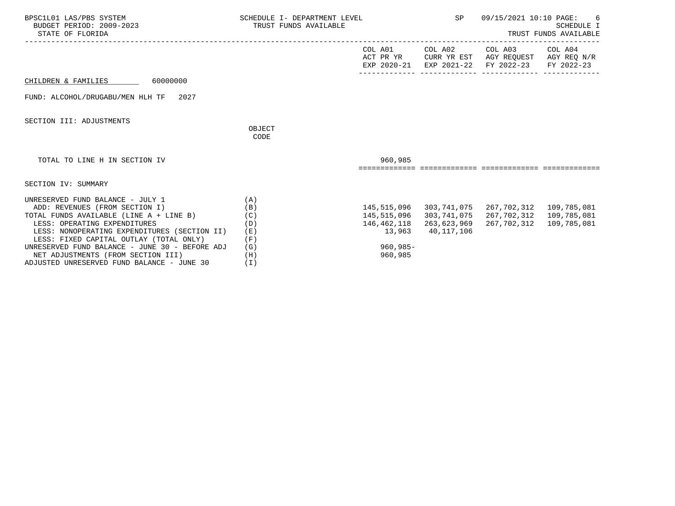| BPSC1L01 LAS/PBS SYSTEM<br>BUDGET PERIOD: 2009-2023<br>STATE OF FLORIDA                                                                                                                                                                                                                    | SCHEDULE I- DEPARTMENT LEVEL<br>TRUST FUNDS AVAILABLE |                                                      | SP                                       | 09/15/2021 10:10 PAGE:<br>6<br><b>SCHEDULE I</b><br>TRUST FUNDS AVAILABLE                         |                       |  |
|--------------------------------------------------------------------------------------------------------------------------------------------------------------------------------------------------------------------------------------------------------------------------------------------|-------------------------------------------------------|------------------------------------------------------|------------------------------------------|---------------------------------------------------------------------------------------------------|-----------------------|--|
|                                                                                                                                                                                                                                                                                            |                                                       | COL A01                                              | COL A02                                  | COL A03<br>ACT PR YR CURR YR EST AGY REQUEST AGY REQ N/R<br>EXP 2020-21 EXP 2021-22 FY 2022-23    | COL A04<br>FY 2022-23 |  |
| 60000000<br>CHILDREN & FAMILIES                                                                                                                                                                                                                                                            |                                                       |                                                      |                                          |                                                                                                   |                       |  |
| FUND: ALCOHOL/DRUGABU/MEN HLH TF 2027                                                                                                                                                                                                                                                      |                                                       |                                                      |                                          |                                                                                                   |                       |  |
| SECTION III: ADJUSTMENTS                                                                                                                                                                                                                                                                   | OBJECT<br>CODE                                        |                                                      |                                          |                                                                                                   |                       |  |
| TOTAL TO LINE H IN SECTION IV                                                                                                                                                                                                                                                              |                                                       | 960,985                                              |                                          |                                                                                                   |                       |  |
| SECTION IV: SUMMARY                                                                                                                                                                                                                                                                        |                                                       |                                                      |                                          |                                                                                                   |                       |  |
| UNRESERVED FUND BALANCE - JULY 1<br>ADD: REVENUES (FROM SECTION I)<br>TOTAL FUNDS AVAILABLE (LINE A + LINE B)<br>LESS: OPERATING EXPENDITURES<br>LESS: NONOPERATING EXPENDITURES (SECTION II)<br>LESS: FIXED CAPITAL OUTLAY (TOTAL ONLY)<br>UNRESERVED FUND BALANCE - JUNE 30 - BEFORE ADJ | (A)<br>(B)<br>(C)<br>(D)<br>(E)<br>(F)<br>(G)         | 145,515,096<br>146,462,118<br>13,963<br>$960, 985 -$ | 303,741,075<br>263,623,969<br>40,117,106 | 145, 515, 096 303, 741, 075 267, 702, 312 109, 785, 081<br>267,702,312 109,785,081<br>267,702,312 | 109,785,081           |  |
| NET ADJUSTMENTS (FROM SECTION III)<br>ADJUSTED UNRESERVED FUND BALANCE - JUNE 30                                                                                                                                                                                                           | (H)<br>(I)                                            | 960,985                                              |                                          |                                                                                                   |                       |  |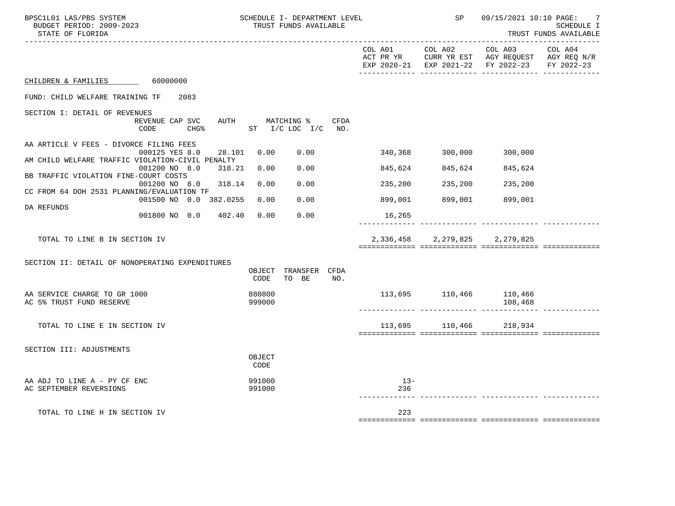| BPSC1L01 LAS/PBS SYSTEM<br>BUDGET PERIOD: 2009-2023<br>STATE OF FLORIDA |                                                    |                  |      | SCHEDULE I- DEPARTMENT LEVEL<br>TRUST FUNDS AVAILABLE |     |              | SP                      | 09/15/2021 10:10 PAGE:                                                                                                                     | $\overline{7}$<br>SCHEDULE I<br>TRUST FUNDS AVAILABLE |
|-------------------------------------------------------------------------|----------------------------------------------------|------------------|------|-------------------------------------------------------|-----|--------------|-------------------------|--------------------------------------------------------------------------------------------------------------------------------------------|-------------------------------------------------------|
|                                                                         |                                                    |                  |      |                                                       |     | COL A01      | COL A02                 | COL A03 COL A04<br>ACT PR YR $\,$ CURR YR EST $\,$ AGY REQUEST $\,$ AGY REQ $\,$ N/R $\,$<br>EXP 2020-21 EXP 2021-22 FY 2022-23 FY 2022-23 |                                                       |
| CHILDREN & FAMILIES 60000000                                            |                                                    |                  |      |                                                       |     |              |                         |                                                                                                                                            |                                                       |
| FUND: CHILD WELFARE TRAINING TF                                         | 2083                                               |                  |      |                                                       |     |              |                         |                                                                                                                                            |                                                       |
| SECTION I: DETAIL OF REVENUES                                           |                                                    |                  |      |                                                       |     |              |                         |                                                                                                                                            |                                                       |
|                                                                         | REVENUE CAP SVC<br>CHG% ST I/C LOC I/C NO.<br>CODE |                  |      | AUTH MATCHING % CFDA                                  |     |              |                         |                                                                                                                                            |                                                       |
| AA ARTICLE V FEES - DIVORCE FILING FEES                                 |                                                    |                  |      |                                                       |     |              |                         |                                                                                                                                            |                                                       |
| AM CHILD WELFARE TRAFFIC VIOLATION-CIVIL PENALTY                        | 000125 YES 8.0                                     | 28.101           | 0.00 | 0.00                                                  |     |              | 340,368 300,000         | 300,000                                                                                                                                    |                                                       |
| BB TRAFFIC VIOLATION FINE-COURT COSTS                                   | 001200 NO 8.0                                      | 318.21<br>0.00   |      | 0.00                                                  |     | 845,624      | 845,624                 | 845,624                                                                                                                                    |                                                       |
|                                                                         | 001200 NO 8.0 318.14                               | 0.00             |      | 0.00                                                  |     | 235,200      | 235,200                 | 235,200                                                                                                                                    |                                                       |
| CC FROM 64 DOH 2531 PLANNING/EVALUATION TF                              | 001500 NO 0.0 382.0255 0.00                        |                  |      | 0.00                                                  |     | 899,001      | 899,001                 | 899,001                                                                                                                                    |                                                       |
| DA REFUNDS                                                              | 001800 NO 0.0 402.40                               | 0.00             |      | 0.00                                                  |     | 16,265       |                         |                                                                                                                                            |                                                       |
|                                                                         |                                                    |                  |      |                                                       |     |              |                         |                                                                                                                                            |                                                       |
| TOTAL TO LINE B IN SECTION IV                                           |                                                    |                  |      |                                                       |     | 2,336,458    |                         | 2, 279, 825 2, 279, 825                                                                                                                    |                                                       |
|                                                                         |                                                    |                  |      |                                                       |     |              |                         |                                                                                                                                            |                                                       |
| SECTION II: DETAIL OF NONOPERATING EXPENDITURES                         |                                                    |                  |      | OBJECT TRANSFER CFDA                                  |     |              |                         |                                                                                                                                            |                                                       |
|                                                                         |                                                    | CODE             |      | TO BE                                                 | NO. |              |                         |                                                                                                                                            |                                                       |
| AA SERVICE CHARGE TO GR 1000                                            |                                                    | 880800           |      |                                                       |     |              | 113,695 110,466 110,466 |                                                                                                                                            |                                                       |
| AC 5% TRUST FUND RESERVE                                                |                                                    | 999000           |      |                                                       |     |              |                         | 108,468                                                                                                                                    |                                                       |
| TOTAL TO LINE E IN SECTION IV                                           |                                                    |                  |      |                                                       |     |              | 113,695 110,466 218,934 |                                                                                                                                            |                                                       |
|                                                                         |                                                    |                  |      |                                                       |     |              |                         |                                                                                                                                            |                                                       |
| SECTION III: ADJUSTMENTS                                                |                                                    |                  |      |                                                       |     |              |                         |                                                                                                                                            |                                                       |
|                                                                         |                                                    | OBJECT<br>CODE   |      |                                                       |     |              |                         |                                                                                                                                            |                                                       |
| AA ADJ TO LINE A - PY CF ENC<br>AC SEPTEMBER REVERSIONS                 |                                                    | 991000<br>991000 |      |                                                       |     | $13-$<br>236 |                         |                                                                                                                                            |                                                       |
|                                                                         |                                                    |                  |      |                                                       |     |              |                         |                                                                                                                                            |                                                       |
| TOTAL TO LINE H IN SECTION IV                                           |                                                    |                  |      |                                                       |     | 223          |                         |                                                                                                                                            |                                                       |
|                                                                         |                                                    |                  |      |                                                       |     |              |                         |                                                                                                                                            |                                                       |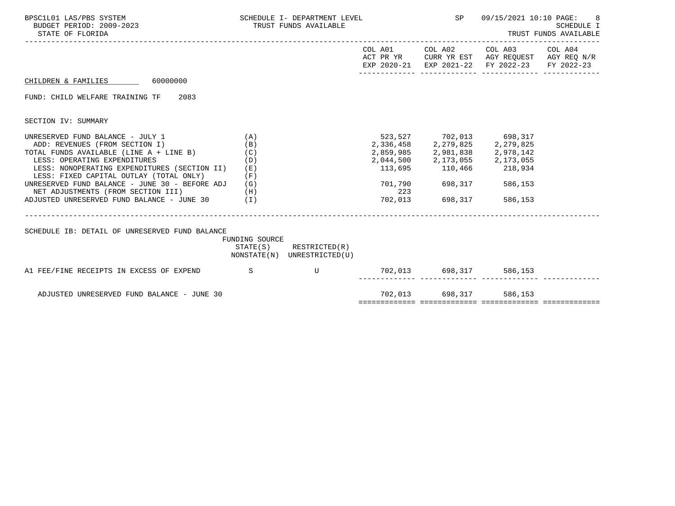| BPSC1L01 LAS/PBS SYSTEM<br>BUDGET PERIOD: 2009-2023<br>STATE OF FLORIDA                                                                                                                                                                                                                                                                                                                                 |                          | SCHEDULE I- DEPARTMENT LEVEL THE SPARE SP<br>TRUST FUNDS AVAILABLE |     |                                                                          | 09/15/2021 10:10 PAGE:<br>TRUST FUNDS AVAILABLE                                                                                                         | 8<br><b>SCHEDULE I</b> |
|---------------------------------------------------------------------------------------------------------------------------------------------------------------------------------------------------------------------------------------------------------------------------------------------------------------------------------------------------------------------------------------------------------|--------------------------|--------------------------------------------------------------------|-----|--------------------------------------------------------------------------|---------------------------------------------------------------------------------------------------------------------------------------------------------|------------------------|
|                                                                                                                                                                                                                                                                                                                                                                                                         |                          |                                                                    |     |                                                                          | COL A01 COL A02 COL A03 COL A04<br>ACT PR YR CURR YR EST AGY REQUEST AGY REQ N/R<br>EXP 2020-21 EXP 2021-22 FY 2022-23 FY 2022-23                       |                        |
| CHILDREN & FAMILIES 60000000                                                                                                                                                                                                                                                                                                                                                                            |                          |                                                                    |     |                                                                          |                                                                                                                                                         |                        |
| FUND: CHILD WELFARE TRAINING TF 2083                                                                                                                                                                                                                                                                                                                                                                    |                          |                                                                    |     |                                                                          |                                                                                                                                                         |                        |
| SECTION IV: SUMMARY                                                                                                                                                                                                                                                                                                                                                                                     |                          |                                                                    |     |                                                                          |                                                                                                                                                         |                        |
| UNRESERVED FUND BALANCE - JULY 1<br>ADD: REVENUES (FROM SECTION I)<br>TOTAL FUNDS AVAILABLE (LINE $A + LINE B$ ) (C)<br>LESS: OPERATING EXPENDITURES<br>LESS: NONOPERATING EXPENDITURES (SECTION II) (E)<br>LESS: FIXED CAPITAL OUTLAY (TOTAL ONLY)<br>UNRESERVED FUND BALANCE - JUNE 30 - BEFORE ADJ $(G)$<br>NET ADJUSTMENTS (FROM SECTION III) (H)<br>ADJUSTED UNRESERVED FUND BALANCE - JUNE 30 (I) | (A)<br>(B)<br>(D)<br>(F) |                                                                    | 223 | 523, 527 702, 013 698, 317<br>701,790 698,317<br>702,013 698,317 586,153 | $2,336,458$<br>$2,279,825$<br>$2,859,985$<br>$2,981,838$<br>$2,978,142$<br>$2,044,500$<br>$2,173,055$<br>$113,695$<br>$110,466$<br>$218,934$<br>586,153 |                        |
| SCHEDULE IB: DETAIL OF UNRESERVED FUND BALANCE                                                                                                                                                                                                                                                                                                                                                          | FUNDING SOURCE           | STATE(S) RESTRICTED(R)<br>NONSTATE(N) UNRESTRICTED(U)              |     |                                                                          |                                                                                                                                                         |                        |
| A1 FEE/FINE RECEIPTS IN EXCESS OF EXPEND S U 702,013 698,317 586,153                                                                                                                                                                                                                                                                                                                                    |                          |                                                                    |     |                                                                          |                                                                                                                                                         |                        |
| ADJUSTED UNRESERVED FUND BALANCE - JUNE 30                                                                                                                                                                                                                                                                                                                                                              |                          |                                                                    |     | 702,013 698,317 586,153                                                  |                                                                                                                                                         |                        |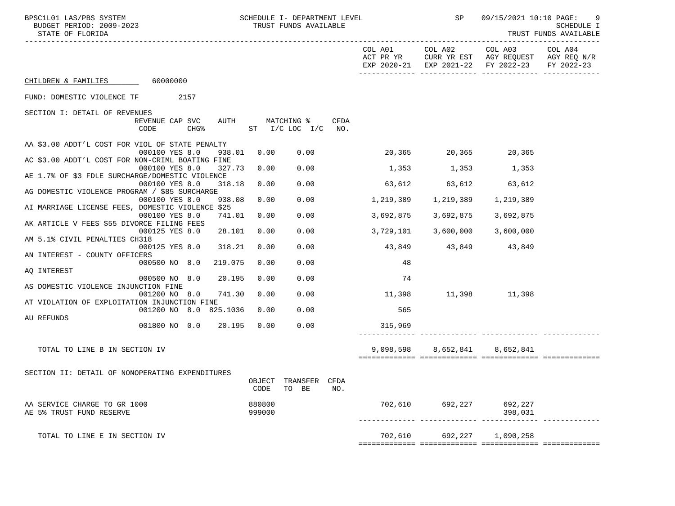| BPSC1L01 LAS/PBS SYSTEM<br>BUDGET PERIOD: 2009-2023<br>STATE OF FLORIDA     | SCHEDULE I- DEPARTMENT LEVEL<br>TRUST FUNDS AVAILABLE |                         | <b>SP</b>                                                                           |               | 09/15/2021 10:10 PAGE: 9<br>SCHEDULE I<br>TRUST FUNDS AVAILABLE |
|-----------------------------------------------------------------------------|-------------------------------------------------------|-------------------------|-------------------------------------------------------------------------------------|---------------|-----------------------------------------------------------------|
|                                                                             |                                                       |                         | ACT PR YR CURR YR EST AGY REQUEST AGY REQ N/R<br>EXP 2020-21 EXP 2021-22 FY 2022-23 |               | FY 2022-23                                                      |
| CHILDREN & FAMILIES 60000000                                                |                                                       |                         |                                                                                     |               |                                                                 |
| FUND: DOMESTIC VIOLENCE TF 2157                                             |                                                       |                         |                                                                                     |               |                                                                 |
| SECTION I: DETAIL OF REVENUES                                               |                                                       |                         |                                                                                     |               |                                                                 |
| REVENUE CAP SVC<br>CODE<br>CHG%                                             | AUTH MATCHING %<br>ST I/C LOC I/C                     | CFDA<br>NO.             |                                                                                     |               |                                                                 |
| AA \$3.00 ADDT'L COST FOR VIOL OF STATE PENALTY<br>000100 YES 8.0<br>938.01 | 0.00<br>0.00                                          |                         | 20,365 20,365 20,365                                                                |               |                                                                 |
| AC \$3.00 ADDT'L COST FOR NON-CRIML BOATING FINE                            |                                                       |                         |                                                                                     |               |                                                                 |
| 000100 YES 8.0<br>327.73<br>AE 1.7% OF \$3 FDLE SURCHARGE/DOMESTIC VIOLENCE | 0.00<br>0.00                                          | $1,353$ $1,353$ $1,353$ |                                                                                     |               |                                                                 |
| 000100 YES 8.0<br>318.18                                                    | 0.00<br>0.00                                          |                         | $63,612$ $63,612$ $63,612$                                                          |               |                                                                 |
| AG DOMESTIC VIOLENCE PROGRAM / \$85 SURCHARGE<br>000100 YES 8.0<br>938.08   | 0.00<br>0.00                                          | 1,219,389               | 1,219,389                                                                           | 1,219,389     |                                                                 |
| AI MARRIAGE LICENSE FEES, DOMESTIC VIOLENCE \$25                            |                                                       |                         |                                                                                     |               |                                                                 |
| 000100 YES 8.0<br>741.01<br>AK ARTICLE V FEES \$55 DIVORCE FILING FEES      | 0.00<br>0.00                                          | 3,692,875               | 3,692,875                                                                           | 3,692,875     |                                                                 |
| 000125 YES 8.0<br>28.101                                                    | 0.00<br>0.00                                          | 3,729,101               | 3,600,000                                                                           | 3,600,000     |                                                                 |
| AM 5.1% CIVIL PENALTIES CH318<br>000125 YES 8.0<br>318.21                   | 0.00<br>0.00                                          |                         | 43,849 43,849 43,849                                                                |               |                                                                 |
| AN INTEREST - COUNTY OFFICERS<br>000500 NO 8.0<br>219.075                   | 0.00<br>0.00                                          | 48                      |                                                                                     |               |                                                                 |
| AQ INTEREST                                                                 |                                                       |                         |                                                                                     |               |                                                                 |
| 000500 NO 8.0<br>20.195                                                     | 0.00<br>0.00                                          | 74                      |                                                                                     |               |                                                                 |
| AS DOMESTIC VIOLENCE INJUNCTION FINE<br>741.30<br>001200 NO 8.0             | 0.00<br>0.00                                          | 11,398                  |                                                                                     | 11,398 11,398 |                                                                 |
| AT VIOLATION OF EXPLOITATION INJUNCTION FINE                                |                                                       |                         |                                                                                     |               |                                                                 |
| 001200 NO 8.0 825.1036                                                      | 0.00<br>0.00                                          | 565                     |                                                                                     |               |                                                                 |
| AU REFUNDS<br>001800 NO 0.0<br>20.195                                       | 0.00<br>0.00                                          | 315,969                 |                                                                                     |               |                                                                 |
|                                                                             |                                                       |                         |                                                                                     |               |                                                                 |
| TOTAL TO LINE B IN SECTION IV                                               |                                                       | 9,098,598               | 8,652,841                                                                           | 8,652,841     |                                                                 |
|                                                                             |                                                       |                         |                                                                                     |               |                                                                 |
| SECTION II: DETAIL OF NONOPERATING EXPENDITURES                             | OBJECT TRANSFER CFDA<br>TO BE<br>CODE                 | NO.                     |                                                                                     |               |                                                                 |
| AA SERVICE CHARGE TO GR 1000<br>AE 5% TRUST FUND RESERVE                    | 880800<br>999000                                      |                         | 702,610 692,227 692,227                                                             | 398,031       |                                                                 |
| TOTAL TO LINE E IN SECTION IV                                               |                                                       |                         | 702,610 692,227                                                                     | 1,090,258     |                                                                 |
|                                                                             |                                                       |                         |                                                                                     |               |                                                                 |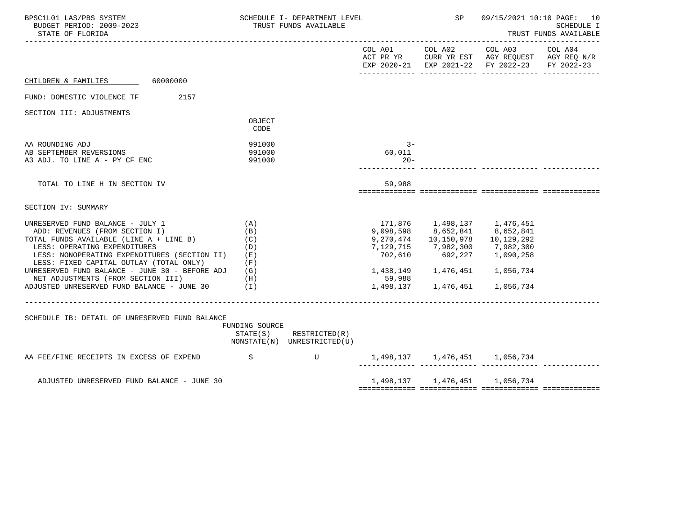| BPSC1L01 LAS/PBS SYSTEM<br>BUDGET PERIOD: 2009-2023<br>STATE OF FLORIDA                                                                                                                                                                                                                                                                                                            |                                                        | SCHEDULE I- DEPARTMENT LEVEL<br>TRUST FUNDS AVAILABLE      |                                | <b>SP</b>                                                                                                                                                       |                                                                                                | 09/15/2021 10:10 PAGE: 10<br><b>SCHEDULE I</b><br>TRUST FUNDS AVAILABLE |
|------------------------------------------------------------------------------------------------------------------------------------------------------------------------------------------------------------------------------------------------------------------------------------------------------------------------------------------------------------------------------------|--------------------------------------------------------|------------------------------------------------------------|--------------------------------|-----------------------------------------------------------------------------------------------------------------------------------------------------------------|------------------------------------------------------------------------------------------------|-------------------------------------------------------------------------|
|                                                                                                                                                                                                                                                                                                                                                                                    |                                                        |                                                            |                                | COL A01 COL A02                                                                                                                                                 | COL A03<br>ACT PR YR CURR YR EST AGY REQUEST AGY REQ N/R<br>EXP 2020-21 EXP 2021-22 FY 2022-23 | COL A04<br>FY 2022-23                                                   |
| CHILDREN & FAMILIES 60000000                                                                                                                                                                                                                                                                                                                                                       |                                                        |                                                            |                                |                                                                                                                                                                 |                                                                                                |                                                                         |
| FUND: DOMESTIC VIOLENCE TF<br>2157                                                                                                                                                                                                                                                                                                                                                 |                                                        |                                                            |                                |                                                                                                                                                                 |                                                                                                |                                                                         |
| SECTION III: ADJUSTMENTS                                                                                                                                                                                                                                                                                                                                                           | OBJECT<br>CODE                                         |                                                            |                                |                                                                                                                                                                 |                                                                                                |                                                                         |
| AA ROUNDING ADJ<br>AB SEPTEMBER REVERSIONS<br>A3 ADJ. TO LINE A - PY CF ENC                                                                                                                                                                                                                                                                                                        | 991000<br>991000<br>991000                             |                                                            | $3 -$<br>60,011<br>$20 -$      |                                                                                                                                                                 |                                                                                                |                                                                         |
| TOTAL TO LINE H IN SECTION IV                                                                                                                                                                                                                                                                                                                                                      |                                                        |                                                            | 59,988                         |                                                                                                                                                                 |                                                                                                |                                                                         |
| SECTION IV: SUMMARY                                                                                                                                                                                                                                                                                                                                                                |                                                        |                                                            |                                |                                                                                                                                                                 |                                                                                                |                                                                         |
| UNRESERVED FUND BALANCE - JULY 1<br>ADD: REVENUES (FROM SECTION I)<br>TOTAL FUNDS AVAILABLE (LINE A + LINE B)<br>LESS: OPERATING EXPENDITURES<br>LESS: NONOPERATING EXPENDITURES (SECTION II)<br>LESS: FIXED CAPITAL OUTLAY (TOTAL ONLY)<br>UNRESERVED FUND BALANCE - JUNE 30 - BEFORE ADJ<br>NET ADJUSTMENTS (FROM SECTION III)<br>ADJUSTED UNRESERVED FUND BALANCE - JUNE 30 (I) | (A)<br>(B)<br>(C)<br>(D)<br>( E )<br>(F)<br>(G)<br>(H) |                                                            | 9,270,474<br>702,610<br>59,988 | 171,876    1,498,137    1,476,451<br>9,098,598 8,652,841 8,652,841<br>10,150,978   10,129,292<br>7,129,715 7,982,300 7,982,300<br>1,498,137 1,476,451 1,056,734 | 692,227 1,090,258                                                                              |                                                                         |
| SCHEDULE IB: DETAIL OF UNRESERVED FUND BALANCE                                                                                                                                                                                                                                                                                                                                     | FUNDING SOURCE                                         | $STATE(S)$ RESTRICTED $(R)$<br>NONSTATE(N) UNRESTRICTED(U) |                                |                                                                                                                                                                 |                                                                                                |                                                                         |
| AA FEE/FINE RECEIPTS IN EXCESS OF EXPEND S U 1,498,137 1,476,451 1,056,734                                                                                                                                                                                                                                                                                                         |                                                        |                                                            |                                |                                                                                                                                                                 |                                                                                                |                                                                         |
| ADJUSTED UNRESERVED FUND BALANCE - JUNE 30                                                                                                                                                                                                                                                                                                                                         |                                                        |                                                            |                                |                                                                                                                                                                 | 1,498,137 1,476,451 1,056,734                                                                  |                                                                         |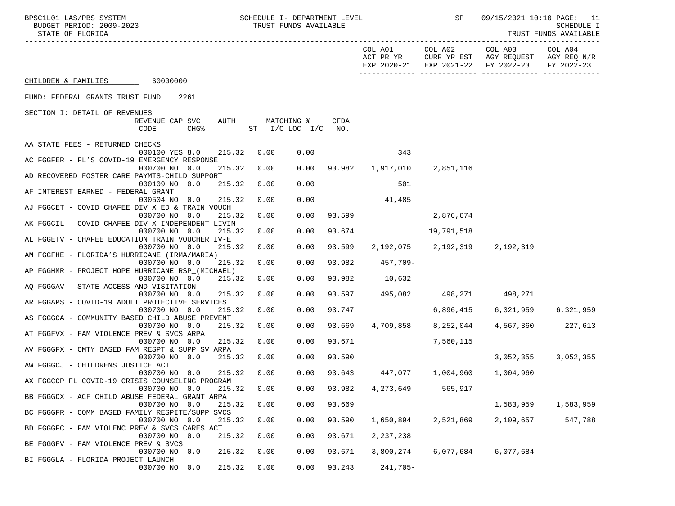| COL A03<br>COL A02<br>COL A04<br>COL A01<br>ACT PR YR<br>CURR YR EST AGY REQUEST AGY REQ N/R<br>EXP 2020-21 EXP 2021-22 FY 2022-23<br>FY 2022-23<br>CHILDREN & FAMILIES 60000000<br>FUND: FEDERAL GRANTS TRUST FUND<br>2261<br>SECTION I: DETAIL OF REVENUES<br>AUTH<br>MATCHING %<br>CFDA<br>REVENUE CAP SVC<br>CODE<br>CHG <sup>8</sup><br>ST I/C LOC I/C<br>NO.<br>AA STATE FEES - RETURNED CHECKS<br>343<br>000100 YES 8.0<br>215.32<br>0.00<br>0.00<br>AC FGGFER - FL'S COVID-19 EMERGENCY RESPONSE<br>0.00<br>0.00<br>93.982 1,917,010<br>000700 NO 0.0<br>215.32<br>2,851,116<br>AD RECOVERED FOSTER CARE PAYMTS-CHILD SUPPORT<br>000109 NO 0.0<br>0.00<br>501<br>215.32<br>0.00<br>AF INTEREST EARNED - FEDERAL GRANT<br>000504 NO 0.0<br>215.32<br>0.00<br>0.00<br>41,485<br>AJ FGGCET - COVID CHAFEE DIV X ED & TRAIN VOUCH<br>000700 NO 0.0<br>215.32<br>0.00<br>0.00<br>93.599<br>2,876,674<br>AK FGGCIL - COVID CHAFEE DIV X INDEPENDENT LIVIN<br>000700 NO 0.0<br>215.32<br>0.00<br>0.00<br>93.674<br>19,791,518<br>AL FGGETV - CHAFEE EDUCATION TRAIN VOUCHER IV-E<br>215.32<br>2, 192, 075 2, 192, 319<br>000700 NO 0.0<br>0.00<br>0.00<br>93.599<br>2,192,319<br>AM FGGFHE - FLORIDA'S HURRICANE (IRMA/MARIA)<br>0.00<br>93.982<br>000700 NO 0.0<br>215.32<br>0.00<br>457,709-<br>AP FGGHMR - PROJECT HOPE HURRICANE RSP_(MICHAEL)<br>000700 NO 0.0<br>215.32<br>0.00<br>0.00<br>93.982<br>10,632<br>AQ FGGGAV - STATE ACCESS AND VISITATION<br>0.00<br>93.597<br>495,082 498,271 498,271<br>000700 NO 0.0<br>215.32<br>0.00<br>AR FGGAPS - COVID-19 ADULT PROTECTIVE SERVICES<br>215.32<br>0.00<br>0.00<br>93.747<br>000700 NO 0.0<br>6,896,415<br>6,321,959<br>6,321,959<br>AS FGGGCA - COMMUNITY BASED CHILD ABUSE PREVENT<br>000700 NO 0.0<br>215.32<br>93.669<br>4,709,858<br>4,567,360 227,613<br>0.00<br>0.00<br>8,252,044<br>AT FGGFVX - FAM VIOLENCE PREV & SVCS ARPA<br>0.00<br>93.671<br>000700 NO 0.0<br>215.32<br>0.00<br>7,560,115<br>AV FGGGFX - CMTY BASED FAM RESPT & SUPP SV ARPA<br>000700 NO 0.0<br>215.32<br>0.00<br>0.00<br>93.590<br>3,052,355<br>3,052,355<br>AW FGGGCJ - CHILDRENS JUSTICE ACT<br>447,077 1,004,960<br>000700 NO 0.0<br>215.32<br>0.00<br>0.00<br>93.643<br>1,004,960<br>AX FGGCCP FL COVID-19 CRISIS COUNSELING PROGRAM<br>000700 NO 0.0<br>215.32<br>0.00<br>0.00<br>93.982<br>4,273,649<br>565,917<br>BB FGGGCX - ACF CHILD ABUSE FEDERAL GRANT ARPA<br>000700 NO 0.0<br>215.32<br>0.00<br>0.00<br>93.669<br>1,583,959<br>1,583,959<br>BC FGGGFR - COMM BASED FAMILY RESPITE/SUPP SVCS<br>1,650,894<br>2,521,869<br>547,788<br>000700 NO 0.0<br>215.32<br>0.00<br>0.00<br>93.590<br>2,109,657<br>BD FGGGFC - FAM VIOLENC PREV & SVCS CARES ACT<br>0.00<br>0.00<br>93.671<br>2,237,238<br>000700 NO 0.0<br>215.32<br>BE FGGGFV - FAM VIOLENCE PREV & SVCS<br>215.32<br>0.00<br>0.00<br>6,077,684<br>6,077,684<br>000700 NO 0.0<br>93.671<br>3,800,274<br>BI FGGGLA - FLORIDA PROJECT LAUNCH<br>000700 NO 0.0<br>215.32<br>0.00<br>0.00<br>93.243<br>241,705- | BPSC1L01 LAS/PBS SYSTEM<br>BUDGET PERIOD: 2009-2023<br>STATE OF FLORIDA | SCHEDULE I- DEPARTMENT LEVEL<br>TRUST FUNDS AVAILABLE |  | SP | 09/15/2021 10:10 PAGE: 11<br>SCHEDULE I<br>TRUST FUNDS AVAILABLE |
|--------------------------------------------------------------------------------------------------------------------------------------------------------------------------------------------------------------------------------------------------------------------------------------------------------------------------------------------------------------------------------------------------------------------------------------------------------------------------------------------------------------------------------------------------------------------------------------------------------------------------------------------------------------------------------------------------------------------------------------------------------------------------------------------------------------------------------------------------------------------------------------------------------------------------------------------------------------------------------------------------------------------------------------------------------------------------------------------------------------------------------------------------------------------------------------------------------------------------------------------------------------------------------------------------------------------------------------------------------------------------------------------------------------------------------------------------------------------------------------------------------------------------------------------------------------------------------------------------------------------------------------------------------------------------------------------------------------------------------------------------------------------------------------------------------------------------------------------------------------------------------------------------------------------------------------------------------------------------------------------------------------------------------------------------------------------------------------------------------------------------------------------------------------------------------------------------------------------------------------------------------------------------------------------------------------------------------------------------------------------------------------------------------------------------------------------------------------------------------------------------------------------------------------------------------------------------------------------------------------------------------------------------------------------------------------------------------------------------------------------------------------------------------------------------------------------------------------------------------------------------------------------------------------------------------------------------------------------------------------------------------------------------|-------------------------------------------------------------------------|-------------------------------------------------------|--|----|------------------------------------------------------------------|
|                                                                                                                                                                                                                                                                                                                                                                                                                                                                                                                                                                                                                                                                                                                                                                                                                                                                                                                                                                                                                                                                                                                                                                                                                                                                                                                                                                                                                                                                                                                                                                                                                                                                                                                                                                                                                                                                                                                                                                                                                                                                                                                                                                                                                                                                                                                                                                                                                                                                                                                                                                                                                                                                                                                                                                                                                                                                                                                                                                                                                          |                                                                         |                                                       |  |    |                                                                  |
|                                                                                                                                                                                                                                                                                                                                                                                                                                                                                                                                                                                                                                                                                                                                                                                                                                                                                                                                                                                                                                                                                                                                                                                                                                                                                                                                                                                                                                                                                                                                                                                                                                                                                                                                                                                                                                                                                                                                                                                                                                                                                                                                                                                                                                                                                                                                                                                                                                                                                                                                                                                                                                                                                                                                                                                                                                                                                                                                                                                                                          |                                                                         |                                                       |  |    |                                                                  |
|                                                                                                                                                                                                                                                                                                                                                                                                                                                                                                                                                                                                                                                                                                                                                                                                                                                                                                                                                                                                                                                                                                                                                                                                                                                                                                                                                                                                                                                                                                                                                                                                                                                                                                                                                                                                                                                                                                                                                                                                                                                                                                                                                                                                                                                                                                                                                                                                                                                                                                                                                                                                                                                                                                                                                                                                                                                                                                                                                                                                                          |                                                                         |                                                       |  |    |                                                                  |
|                                                                                                                                                                                                                                                                                                                                                                                                                                                                                                                                                                                                                                                                                                                                                                                                                                                                                                                                                                                                                                                                                                                                                                                                                                                                                                                                                                                                                                                                                                                                                                                                                                                                                                                                                                                                                                                                                                                                                                                                                                                                                                                                                                                                                                                                                                                                                                                                                                                                                                                                                                                                                                                                                                                                                                                                                                                                                                                                                                                                                          |                                                                         |                                                       |  |    |                                                                  |
|                                                                                                                                                                                                                                                                                                                                                                                                                                                                                                                                                                                                                                                                                                                                                                                                                                                                                                                                                                                                                                                                                                                                                                                                                                                                                                                                                                                                                                                                                                                                                                                                                                                                                                                                                                                                                                                                                                                                                                                                                                                                                                                                                                                                                                                                                                                                                                                                                                                                                                                                                                                                                                                                                                                                                                                                                                                                                                                                                                                                                          |                                                                         |                                                       |  |    |                                                                  |
|                                                                                                                                                                                                                                                                                                                                                                                                                                                                                                                                                                                                                                                                                                                                                                                                                                                                                                                                                                                                                                                                                                                                                                                                                                                                                                                                                                                                                                                                                                                                                                                                                                                                                                                                                                                                                                                                                                                                                                                                                                                                                                                                                                                                                                                                                                                                                                                                                                                                                                                                                                                                                                                                                                                                                                                                                                                                                                                                                                                                                          |                                                                         |                                                       |  |    |                                                                  |
|                                                                                                                                                                                                                                                                                                                                                                                                                                                                                                                                                                                                                                                                                                                                                                                                                                                                                                                                                                                                                                                                                                                                                                                                                                                                                                                                                                                                                                                                                                                                                                                                                                                                                                                                                                                                                                                                                                                                                                                                                                                                                                                                                                                                                                                                                                                                                                                                                                                                                                                                                                                                                                                                                                                                                                                                                                                                                                                                                                                                                          |                                                                         |                                                       |  |    |                                                                  |
|                                                                                                                                                                                                                                                                                                                                                                                                                                                                                                                                                                                                                                                                                                                                                                                                                                                                                                                                                                                                                                                                                                                                                                                                                                                                                                                                                                                                                                                                                                                                                                                                                                                                                                                                                                                                                                                                                                                                                                                                                                                                                                                                                                                                                                                                                                                                                                                                                                                                                                                                                                                                                                                                                                                                                                                                                                                                                                                                                                                                                          |                                                                         |                                                       |  |    |                                                                  |
|                                                                                                                                                                                                                                                                                                                                                                                                                                                                                                                                                                                                                                                                                                                                                                                                                                                                                                                                                                                                                                                                                                                                                                                                                                                                                                                                                                                                                                                                                                                                                                                                                                                                                                                                                                                                                                                                                                                                                                                                                                                                                                                                                                                                                                                                                                                                                                                                                                                                                                                                                                                                                                                                                                                                                                                                                                                                                                                                                                                                                          |                                                                         |                                                       |  |    |                                                                  |
|                                                                                                                                                                                                                                                                                                                                                                                                                                                                                                                                                                                                                                                                                                                                                                                                                                                                                                                                                                                                                                                                                                                                                                                                                                                                                                                                                                                                                                                                                                                                                                                                                                                                                                                                                                                                                                                                                                                                                                                                                                                                                                                                                                                                                                                                                                                                                                                                                                                                                                                                                                                                                                                                                                                                                                                                                                                                                                                                                                                                                          |                                                                         |                                                       |  |    |                                                                  |
|                                                                                                                                                                                                                                                                                                                                                                                                                                                                                                                                                                                                                                                                                                                                                                                                                                                                                                                                                                                                                                                                                                                                                                                                                                                                                                                                                                                                                                                                                                                                                                                                                                                                                                                                                                                                                                                                                                                                                                                                                                                                                                                                                                                                                                                                                                                                                                                                                                                                                                                                                                                                                                                                                                                                                                                                                                                                                                                                                                                                                          |                                                                         |                                                       |  |    |                                                                  |
|                                                                                                                                                                                                                                                                                                                                                                                                                                                                                                                                                                                                                                                                                                                                                                                                                                                                                                                                                                                                                                                                                                                                                                                                                                                                                                                                                                                                                                                                                                                                                                                                                                                                                                                                                                                                                                                                                                                                                                                                                                                                                                                                                                                                                                                                                                                                                                                                                                                                                                                                                                                                                                                                                                                                                                                                                                                                                                                                                                                                                          |                                                                         |                                                       |  |    |                                                                  |
|                                                                                                                                                                                                                                                                                                                                                                                                                                                                                                                                                                                                                                                                                                                                                                                                                                                                                                                                                                                                                                                                                                                                                                                                                                                                                                                                                                                                                                                                                                                                                                                                                                                                                                                                                                                                                                                                                                                                                                                                                                                                                                                                                                                                                                                                                                                                                                                                                                                                                                                                                                                                                                                                                                                                                                                                                                                                                                                                                                                                                          |                                                                         |                                                       |  |    |                                                                  |
|                                                                                                                                                                                                                                                                                                                                                                                                                                                                                                                                                                                                                                                                                                                                                                                                                                                                                                                                                                                                                                                                                                                                                                                                                                                                                                                                                                                                                                                                                                                                                                                                                                                                                                                                                                                                                                                                                                                                                                                                                                                                                                                                                                                                                                                                                                                                                                                                                                                                                                                                                                                                                                                                                                                                                                                                                                                                                                                                                                                                                          |                                                                         |                                                       |  |    |                                                                  |
|                                                                                                                                                                                                                                                                                                                                                                                                                                                                                                                                                                                                                                                                                                                                                                                                                                                                                                                                                                                                                                                                                                                                                                                                                                                                                                                                                                                                                                                                                                                                                                                                                                                                                                                                                                                                                                                                                                                                                                                                                                                                                                                                                                                                                                                                                                                                                                                                                                                                                                                                                                                                                                                                                                                                                                                                                                                                                                                                                                                                                          |                                                                         |                                                       |  |    |                                                                  |
|                                                                                                                                                                                                                                                                                                                                                                                                                                                                                                                                                                                                                                                                                                                                                                                                                                                                                                                                                                                                                                                                                                                                                                                                                                                                                                                                                                                                                                                                                                                                                                                                                                                                                                                                                                                                                                                                                                                                                                                                                                                                                                                                                                                                                                                                                                                                                                                                                                                                                                                                                                                                                                                                                                                                                                                                                                                                                                                                                                                                                          |                                                                         |                                                       |  |    |                                                                  |
|                                                                                                                                                                                                                                                                                                                                                                                                                                                                                                                                                                                                                                                                                                                                                                                                                                                                                                                                                                                                                                                                                                                                                                                                                                                                                                                                                                                                                                                                                                                                                                                                                                                                                                                                                                                                                                                                                                                                                                                                                                                                                                                                                                                                                                                                                                                                                                                                                                                                                                                                                                                                                                                                                                                                                                                                                                                                                                                                                                                                                          |                                                                         |                                                       |  |    |                                                                  |
|                                                                                                                                                                                                                                                                                                                                                                                                                                                                                                                                                                                                                                                                                                                                                                                                                                                                                                                                                                                                                                                                                                                                                                                                                                                                                                                                                                                                                                                                                                                                                                                                                                                                                                                                                                                                                                                                                                                                                                                                                                                                                                                                                                                                                                                                                                                                                                                                                                                                                                                                                                                                                                                                                                                                                                                                                                                                                                                                                                                                                          |                                                                         |                                                       |  |    |                                                                  |
|                                                                                                                                                                                                                                                                                                                                                                                                                                                                                                                                                                                                                                                                                                                                                                                                                                                                                                                                                                                                                                                                                                                                                                                                                                                                                                                                                                                                                                                                                                                                                                                                                                                                                                                                                                                                                                                                                                                                                                                                                                                                                                                                                                                                                                                                                                                                                                                                                                                                                                                                                                                                                                                                                                                                                                                                                                                                                                                                                                                                                          |                                                                         |                                                       |  |    |                                                                  |
|                                                                                                                                                                                                                                                                                                                                                                                                                                                                                                                                                                                                                                                                                                                                                                                                                                                                                                                                                                                                                                                                                                                                                                                                                                                                                                                                                                                                                                                                                                                                                                                                                                                                                                                                                                                                                                                                                                                                                                                                                                                                                                                                                                                                                                                                                                                                                                                                                                                                                                                                                                                                                                                                                                                                                                                                                                                                                                                                                                                                                          |                                                                         |                                                       |  |    |                                                                  |
|                                                                                                                                                                                                                                                                                                                                                                                                                                                                                                                                                                                                                                                                                                                                                                                                                                                                                                                                                                                                                                                                                                                                                                                                                                                                                                                                                                                                                                                                                                                                                                                                                                                                                                                                                                                                                                                                                                                                                                                                                                                                                                                                                                                                                                                                                                                                                                                                                                                                                                                                                                                                                                                                                                                                                                                                                                                                                                                                                                                                                          |                                                                         |                                                       |  |    |                                                                  |
|                                                                                                                                                                                                                                                                                                                                                                                                                                                                                                                                                                                                                                                                                                                                                                                                                                                                                                                                                                                                                                                                                                                                                                                                                                                                                                                                                                                                                                                                                                                                                                                                                                                                                                                                                                                                                                                                                                                                                                                                                                                                                                                                                                                                                                                                                                                                                                                                                                                                                                                                                                                                                                                                                                                                                                                                                                                                                                                                                                                                                          |                                                                         |                                                       |  |    |                                                                  |
|                                                                                                                                                                                                                                                                                                                                                                                                                                                                                                                                                                                                                                                                                                                                                                                                                                                                                                                                                                                                                                                                                                                                                                                                                                                                                                                                                                                                                                                                                                                                                                                                                                                                                                                                                                                                                                                                                                                                                                                                                                                                                                                                                                                                                                                                                                                                                                                                                                                                                                                                                                                                                                                                                                                                                                                                                                                                                                                                                                                                                          |                                                                         |                                                       |  |    |                                                                  |
|                                                                                                                                                                                                                                                                                                                                                                                                                                                                                                                                                                                                                                                                                                                                                                                                                                                                                                                                                                                                                                                                                                                                                                                                                                                                                                                                                                                                                                                                                                                                                                                                                                                                                                                                                                                                                                                                                                                                                                                                                                                                                                                                                                                                                                                                                                                                                                                                                                                                                                                                                                                                                                                                                                                                                                                                                                                                                                                                                                                                                          |                                                                         |                                                       |  |    |                                                                  |
|                                                                                                                                                                                                                                                                                                                                                                                                                                                                                                                                                                                                                                                                                                                                                                                                                                                                                                                                                                                                                                                                                                                                                                                                                                                                                                                                                                                                                                                                                                                                                                                                                                                                                                                                                                                                                                                                                                                                                                                                                                                                                                                                                                                                                                                                                                                                                                                                                                                                                                                                                                                                                                                                                                                                                                                                                                                                                                                                                                                                                          |                                                                         |                                                       |  |    |                                                                  |
|                                                                                                                                                                                                                                                                                                                                                                                                                                                                                                                                                                                                                                                                                                                                                                                                                                                                                                                                                                                                                                                                                                                                                                                                                                                                                                                                                                                                                                                                                                                                                                                                                                                                                                                                                                                                                                                                                                                                                                                                                                                                                                                                                                                                                                                                                                                                                                                                                                                                                                                                                                                                                                                                                                                                                                                                                                                                                                                                                                                                                          |                                                                         |                                                       |  |    |                                                                  |
|                                                                                                                                                                                                                                                                                                                                                                                                                                                                                                                                                                                                                                                                                                                                                                                                                                                                                                                                                                                                                                                                                                                                                                                                                                                                                                                                                                                                                                                                                                                                                                                                                                                                                                                                                                                                                                                                                                                                                                                                                                                                                                                                                                                                                                                                                                                                                                                                                                                                                                                                                                                                                                                                                                                                                                                                                                                                                                                                                                                                                          |                                                                         |                                                       |  |    |                                                                  |
|                                                                                                                                                                                                                                                                                                                                                                                                                                                                                                                                                                                                                                                                                                                                                                                                                                                                                                                                                                                                                                                                                                                                                                                                                                                                                                                                                                                                                                                                                                                                                                                                                                                                                                                                                                                                                                                                                                                                                                                                                                                                                                                                                                                                                                                                                                                                                                                                                                                                                                                                                                                                                                                                                                                                                                                                                                                                                                                                                                                                                          |                                                                         |                                                       |  |    |                                                                  |
|                                                                                                                                                                                                                                                                                                                                                                                                                                                                                                                                                                                                                                                                                                                                                                                                                                                                                                                                                                                                                                                                                                                                                                                                                                                                                                                                                                                                                                                                                                                                                                                                                                                                                                                                                                                                                                                                                                                                                                                                                                                                                                                                                                                                                                                                                                                                                                                                                                                                                                                                                                                                                                                                                                                                                                                                                                                                                                                                                                                                                          |                                                                         |                                                       |  |    |                                                                  |
|                                                                                                                                                                                                                                                                                                                                                                                                                                                                                                                                                                                                                                                                                                                                                                                                                                                                                                                                                                                                                                                                                                                                                                                                                                                                                                                                                                                                                                                                                                                                                                                                                                                                                                                                                                                                                                                                                                                                                                                                                                                                                                                                                                                                                                                                                                                                                                                                                                                                                                                                                                                                                                                                                                                                                                                                                                                                                                                                                                                                                          |                                                                         |                                                       |  |    |                                                                  |
|                                                                                                                                                                                                                                                                                                                                                                                                                                                                                                                                                                                                                                                                                                                                                                                                                                                                                                                                                                                                                                                                                                                                                                                                                                                                                                                                                                                                                                                                                                                                                                                                                                                                                                                                                                                                                                                                                                                                                                                                                                                                                                                                                                                                                                                                                                                                                                                                                                                                                                                                                                                                                                                                                                                                                                                                                                                                                                                                                                                                                          |                                                                         |                                                       |  |    |                                                                  |
|                                                                                                                                                                                                                                                                                                                                                                                                                                                                                                                                                                                                                                                                                                                                                                                                                                                                                                                                                                                                                                                                                                                                                                                                                                                                                                                                                                                                                                                                                                                                                                                                                                                                                                                                                                                                                                                                                                                                                                                                                                                                                                                                                                                                                                                                                                                                                                                                                                                                                                                                                                                                                                                                                                                                                                                                                                                                                                                                                                                                                          |                                                                         |                                                       |  |    |                                                                  |
|                                                                                                                                                                                                                                                                                                                                                                                                                                                                                                                                                                                                                                                                                                                                                                                                                                                                                                                                                                                                                                                                                                                                                                                                                                                                                                                                                                                                                                                                                                                                                                                                                                                                                                                                                                                                                                                                                                                                                                                                                                                                                                                                                                                                                                                                                                                                                                                                                                                                                                                                                                                                                                                                                                                                                                                                                                                                                                                                                                                                                          |                                                                         |                                                       |  |    |                                                                  |
|                                                                                                                                                                                                                                                                                                                                                                                                                                                                                                                                                                                                                                                                                                                                                                                                                                                                                                                                                                                                                                                                                                                                                                                                                                                                                                                                                                                                                                                                                                                                                                                                                                                                                                                                                                                                                                                                                                                                                                                                                                                                                                                                                                                                                                                                                                                                                                                                                                                                                                                                                                                                                                                                                                                                                                                                                                                                                                                                                                                                                          |                                                                         |                                                       |  |    |                                                                  |
|                                                                                                                                                                                                                                                                                                                                                                                                                                                                                                                                                                                                                                                                                                                                                                                                                                                                                                                                                                                                                                                                                                                                                                                                                                                                                                                                                                                                                                                                                                                                                                                                                                                                                                                                                                                                                                                                                                                                                                                                                                                                                                                                                                                                                                                                                                                                                                                                                                                                                                                                                                                                                                                                                                                                                                                                                                                                                                                                                                                                                          |                                                                         |                                                       |  |    |                                                                  |
|                                                                                                                                                                                                                                                                                                                                                                                                                                                                                                                                                                                                                                                                                                                                                                                                                                                                                                                                                                                                                                                                                                                                                                                                                                                                                                                                                                                                                                                                                                                                                                                                                                                                                                                                                                                                                                                                                                                                                                                                                                                                                                                                                                                                                                                                                                                                                                                                                                                                                                                                                                                                                                                                                                                                                                                                                                                                                                                                                                                                                          |                                                                         |                                                       |  |    |                                                                  |
|                                                                                                                                                                                                                                                                                                                                                                                                                                                                                                                                                                                                                                                                                                                                                                                                                                                                                                                                                                                                                                                                                                                                                                                                                                                                                                                                                                                                                                                                                                                                                                                                                                                                                                                                                                                                                                                                                                                                                                                                                                                                                                                                                                                                                                                                                                                                                                                                                                                                                                                                                                                                                                                                                                                                                                                                                                                                                                                                                                                                                          |                                                                         |                                                       |  |    |                                                                  |
|                                                                                                                                                                                                                                                                                                                                                                                                                                                                                                                                                                                                                                                                                                                                                                                                                                                                                                                                                                                                                                                                                                                                                                                                                                                                                                                                                                                                                                                                                                                                                                                                                                                                                                                                                                                                                                                                                                                                                                                                                                                                                                                                                                                                                                                                                                                                                                                                                                                                                                                                                                                                                                                                                                                                                                                                                                                                                                                                                                                                                          |                                                                         |                                                       |  |    |                                                                  |
|                                                                                                                                                                                                                                                                                                                                                                                                                                                                                                                                                                                                                                                                                                                                                                                                                                                                                                                                                                                                                                                                                                                                                                                                                                                                                                                                                                                                                                                                                                                                                                                                                                                                                                                                                                                                                                                                                                                                                                                                                                                                                                                                                                                                                                                                                                                                                                                                                                                                                                                                                                                                                                                                                                                                                                                                                                                                                                                                                                                                                          |                                                                         |                                                       |  |    |                                                                  |
|                                                                                                                                                                                                                                                                                                                                                                                                                                                                                                                                                                                                                                                                                                                                                                                                                                                                                                                                                                                                                                                                                                                                                                                                                                                                                                                                                                                                                                                                                                                                                                                                                                                                                                                                                                                                                                                                                                                                                                                                                                                                                                                                                                                                                                                                                                                                                                                                                                                                                                                                                                                                                                                                                                                                                                                                                                                                                                                                                                                                                          |                                                                         |                                                       |  |    |                                                                  |
|                                                                                                                                                                                                                                                                                                                                                                                                                                                                                                                                                                                                                                                                                                                                                                                                                                                                                                                                                                                                                                                                                                                                                                                                                                                                                                                                                                                                                                                                                                                                                                                                                                                                                                                                                                                                                                                                                                                                                                                                                                                                                                                                                                                                                                                                                                                                                                                                                                                                                                                                                                                                                                                                                                                                                                                                                                                                                                                                                                                                                          |                                                                         |                                                       |  |    |                                                                  |
|                                                                                                                                                                                                                                                                                                                                                                                                                                                                                                                                                                                                                                                                                                                                                                                                                                                                                                                                                                                                                                                                                                                                                                                                                                                                                                                                                                                                                                                                                                                                                                                                                                                                                                                                                                                                                                                                                                                                                                                                                                                                                                                                                                                                                                                                                                                                                                                                                                                                                                                                                                                                                                                                                                                                                                                                                                                                                                                                                                                                                          |                                                                         |                                                       |  |    |                                                                  |
|                                                                                                                                                                                                                                                                                                                                                                                                                                                                                                                                                                                                                                                                                                                                                                                                                                                                                                                                                                                                                                                                                                                                                                                                                                                                                                                                                                                                                                                                                                                                                                                                                                                                                                                                                                                                                                                                                                                                                                                                                                                                                                                                                                                                                                                                                                                                                                                                                                                                                                                                                                                                                                                                                                                                                                                                                                                                                                                                                                                                                          |                                                                         |                                                       |  |    |                                                                  |
|                                                                                                                                                                                                                                                                                                                                                                                                                                                                                                                                                                                                                                                                                                                                                                                                                                                                                                                                                                                                                                                                                                                                                                                                                                                                                                                                                                                                                                                                                                                                                                                                                                                                                                                                                                                                                                                                                                                                                                                                                                                                                                                                                                                                                                                                                                                                                                                                                                                                                                                                                                                                                                                                                                                                                                                                                                                                                                                                                                                                                          |                                                                         |                                                       |  |    |                                                                  |
|                                                                                                                                                                                                                                                                                                                                                                                                                                                                                                                                                                                                                                                                                                                                                                                                                                                                                                                                                                                                                                                                                                                                                                                                                                                                                                                                                                                                                                                                                                                                                                                                                                                                                                                                                                                                                                                                                                                                                                                                                                                                                                                                                                                                                                                                                                                                                                                                                                                                                                                                                                                                                                                                                                                                                                                                                                                                                                                                                                                                                          |                                                                         |                                                       |  |    |                                                                  |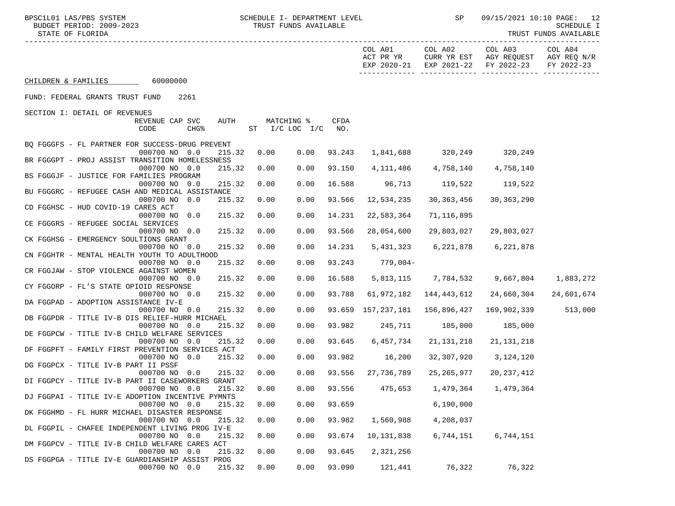|                                                                                                                                                                                                          |                                                                                                                                                                                                                                                                                                                                                                                                                                                                                     |                                                                                    |                                                                                                                             | SP                                                                                                            |                                                                                                             | 09/15/2021 10:10 PAGE: 12<br>SCHEDULE I<br>TRUST FUNDS AVAILABLE                                                                                                                                                                                                                       |
|----------------------------------------------------------------------------------------------------------------------------------------------------------------------------------------------------------|-------------------------------------------------------------------------------------------------------------------------------------------------------------------------------------------------------------------------------------------------------------------------------------------------------------------------------------------------------------------------------------------------------------------------------------------------------------------------------------|------------------------------------------------------------------------------------|-----------------------------------------------------------------------------------------------------------------------------|---------------------------------------------------------------------------------------------------------------|-------------------------------------------------------------------------------------------------------------|----------------------------------------------------------------------------------------------------------------------------------------------------------------------------------------------------------------------------------------------------------------------------------------|
|                                                                                                                                                                                                          |                                                                                                                                                                                                                                                                                                                                                                                                                                                                                     |                                                                                    | COL A01<br>ACT PR YR                                                                                                        | COL A02                                                                                                       | COL A03                                                                                                     | COL A04<br>FY 2022-23                                                                                                                                                                                                                                                                  |
|                                                                                                                                                                                                          |                                                                                                                                                                                                                                                                                                                                                                                                                                                                                     |                                                                                    |                                                                                                                             |                                                                                                               |                                                                                                             |                                                                                                                                                                                                                                                                                        |
|                                                                                                                                                                                                          |                                                                                                                                                                                                                                                                                                                                                                                                                                                                                     |                                                                                    |                                                                                                                             |                                                                                                               |                                                                                                             |                                                                                                                                                                                                                                                                                        |
|                                                                                                                                                                                                          |                                                                                                                                                                                                                                                                                                                                                                                                                                                                                     |                                                                                    |                                                                                                                             |                                                                                                               |                                                                                                             |                                                                                                                                                                                                                                                                                        |
|                                                                                                                                                                                                          |                                                                                                                                                                                                                                                                                                                                                                                                                                                                                     | CFDA<br>NO <sub>z</sub>                                                            |                                                                                                                             |                                                                                                               |                                                                                                             |                                                                                                                                                                                                                                                                                        |
|                                                                                                                                                                                                          |                                                                                                                                                                                                                                                                                                                                                                                                                                                                                     |                                                                                    |                                                                                                                             |                                                                                                               |                                                                                                             |                                                                                                                                                                                                                                                                                        |
|                                                                                                                                                                                                          |                                                                                                                                                                                                                                                                                                                                                                                                                                                                                     |                                                                                    |                                                                                                                             |                                                                                                               |                                                                                                             |                                                                                                                                                                                                                                                                                        |
|                                                                                                                                                                                                          |                                                                                                                                                                                                                                                                                                                                                                                                                                                                                     |                                                                                    |                                                                                                                             |                                                                                                               |                                                                                                             |                                                                                                                                                                                                                                                                                        |
|                                                                                                                                                                                                          |                                                                                                                                                                                                                                                                                                                                                                                                                                                                                     |                                                                                    |                                                                                                                             |                                                                                                               |                                                                                                             |                                                                                                                                                                                                                                                                                        |
| 0.00                                                                                                                                                                                                     | 0.00                                                                                                                                                                                                                                                                                                                                                                                                                                                                                | 93.566                                                                             | 12,534,235                                                                                                                  |                                                                                                               | 30,363,290                                                                                                  |                                                                                                                                                                                                                                                                                        |
| 0.00                                                                                                                                                                                                     | 0.00                                                                                                                                                                                                                                                                                                                                                                                                                                                                                | 14.231                                                                             | 22,583,364                                                                                                                  | 71,116,895                                                                                                    |                                                                                                             |                                                                                                                                                                                                                                                                                        |
| 0.00                                                                                                                                                                                                     | 0.00                                                                                                                                                                                                                                                                                                                                                                                                                                                                                | 93.566                                                                             | 28,054,600                                                                                                                  | 29,803,027                                                                                                    | 29,803,027                                                                                                  |                                                                                                                                                                                                                                                                                        |
|                                                                                                                                                                                                          |                                                                                                                                                                                                                                                                                                                                                                                                                                                                                     |                                                                                    |                                                                                                                             |                                                                                                               |                                                                                                             |                                                                                                                                                                                                                                                                                        |
|                                                                                                                                                                                                          |                                                                                                                                                                                                                                                                                                                                                                                                                                                                                     |                                                                                    |                                                                                                                             |                                                                                                               |                                                                                                             |                                                                                                                                                                                                                                                                                        |
|                                                                                                                                                                                                          |                                                                                                                                                                                                                                                                                                                                                                                                                                                                                     |                                                                                    |                                                                                                                             |                                                                                                               |                                                                                                             |                                                                                                                                                                                                                                                                                        |
| 0.00                                                                                                                                                                                                     | 0.00                                                                                                                                                                                                                                                                                                                                                                                                                                                                                | 16.588                                                                             |                                                                                                                             |                                                                                                               |                                                                                                             | 1,883,272                                                                                                                                                                                                                                                                              |
| 0.00                                                                                                                                                                                                     | 0.00                                                                                                                                                                                                                                                                                                                                                                                                                                                                                | 93.788                                                                             | 61,972,182                                                                                                                  | 144,443,612                                                                                                   | 24,660,304                                                                                                  | 24,601,674                                                                                                                                                                                                                                                                             |
| 0.00                                                                                                                                                                                                     | 0.00                                                                                                                                                                                                                                                                                                                                                                                                                                                                                |                                                                                    |                                                                                                                             |                                                                                                               | 169,902,339                                                                                                 | 513,000                                                                                                                                                                                                                                                                                |
|                                                                                                                                                                                                          |                                                                                                                                                                                                                                                                                                                                                                                                                                                                                     |                                                                                    |                                                                                                                             |                                                                                                               |                                                                                                             |                                                                                                                                                                                                                                                                                        |
|                                                                                                                                                                                                          |                                                                                                                                                                                                                                                                                                                                                                                                                                                                                     |                                                                                    |                                                                                                                             |                                                                                                               |                                                                                                             |                                                                                                                                                                                                                                                                                        |
| 0.00                                                                                                                                                                                                     | 0.00                                                                                                                                                                                                                                                                                                                                                                                                                                                                                | 93.645                                                                             |                                                                                                                             |                                                                                                               | 21,131,218                                                                                                  |                                                                                                                                                                                                                                                                                        |
| 0.00                                                                                                                                                                                                     | 0.00                                                                                                                                                                                                                                                                                                                                                                                                                                                                                |                                                                                    | 16,200                                                                                                                      |                                                                                                               | 3,124,120                                                                                                   |                                                                                                                                                                                                                                                                                        |
| 0.00                                                                                                                                                                                                     | 0.00                                                                                                                                                                                                                                                                                                                                                                                                                                                                                | 93.556                                                                             |                                                                                                                             |                                                                                                               | 20,237,412                                                                                                  |                                                                                                                                                                                                                                                                                        |
|                                                                                                                                                                                                          |                                                                                                                                                                                                                                                                                                                                                                                                                                                                                     |                                                                                    |                                                                                                                             |                                                                                                               |                                                                                                             |                                                                                                                                                                                                                                                                                        |
|                                                                                                                                                                                                          |                                                                                                                                                                                                                                                                                                                                                                                                                                                                                     |                                                                                    |                                                                                                                             |                                                                                                               |                                                                                                             |                                                                                                                                                                                                                                                                                        |
|                                                                                                                                                                                                          |                                                                                                                                                                                                                                                                                                                                                                                                                                                                                     |                                                                                    |                                                                                                                             |                                                                                                               |                                                                                                             |                                                                                                                                                                                                                                                                                        |
| 0.00                                                                                                                                                                                                     | 0.00                                                                                                                                                                                                                                                                                                                                                                                                                                                                                | 93.982                                                                             | 1,560,988                                                                                                                   | 4,208,037                                                                                                     |                                                                                                             |                                                                                                                                                                                                                                                                                        |
| 0.00                                                                                                                                                                                                     | 0.00                                                                                                                                                                                                                                                                                                                                                                                                                                                                                | 93.674                                                                             | 10,131,838                                                                                                                  | 6,744,151                                                                                                     | 6,744,151                                                                                                   |                                                                                                                                                                                                                                                                                        |
| 0.00                                                                                                                                                                                                     | 0.00                                                                                                                                                                                                                                                                                                                                                                                                                                                                                | 93.645                                                                             | 2,321,256                                                                                                                   |                                                                                                               |                                                                                                             |                                                                                                                                                                                                                                                                                        |
| 215.32<br>0.00                                                                                                                                                                                           | 0.00                                                                                                                                                                                                                                                                                                                                                                                                                                                                                | 93.090                                                                             | 121,441                                                                                                                     | 76,322                                                                                                        | 76,322                                                                                                      |                                                                                                                                                                                                                                                                                        |
| BQ FGGGFS - FL PARTNER FOR SUCCESS-DRUG PREVENT<br>BR FGGGPT - PROJ ASSIST TRANSITION HOMELESSNESS<br>BU FGGGRC - REFUGEE CASH AND MEDICAL ASSISTANCE<br>DL FGGPIL - CHAFEE INDEPENDENT LIVING PROG IV-E | AUTH<br>215.32<br>215.32<br>0.00<br>215.32<br>0.00<br>215.32<br>215.32<br>215.32<br>0.00<br>215.32<br>215.32<br>0.00<br>215.32<br>215.32<br>215.32<br>215.32<br>0.00<br>215.32<br>DF FGGPFT - FAMILY FIRST PREVENTION SERVICES ACT<br>215.32<br>215.32<br>DI FGGPCY - TITLE IV-B PART II CASEWORKERS GRANT<br>0.00<br>215.32<br>DJ FGGPAI - TITLE IV-E ADOPTION INCENTIVE PYMNTS<br>215.32<br>0.00<br>215.32<br>215.32<br>215.32<br>DS FGGPGA - TITLE IV-E GUARDIANSHIP ASSIST PROG | MATCHING %<br>0.00<br>0.00<br>0.00<br>0.00<br>0.00<br>0.00<br>0.00<br>0.00<br>0.00 | TRUST FUNDS AVAILABLE<br>ST $I/C$ LOC $I/C$<br>93.243<br>93.150<br>16.588<br>14.231<br>93.243<br>93.982<br>93.556<br>93.659 | SCHEDULE I- DEPARTMENT LEVEL<br>96,713<br>5,431,323<br>779,004-<br>245,711<br>93.982<br>27,736,789<br>475,653 | 30,363,456<br>6,221,878<br>93.659 157,237,181 156,896,427<br>185,000<br>6,457,734<br>1,479,364<br>6,190,000 | CURR YR EST AGY REQUEST AGY REQ N/R<br>EXP 2020-21 EXP 2021-22<br>FY 2022-23<br>1,841,688 320,249 320,249<br>4, 111, 486 4, 758, 140 4, 758, 140<br>119,522<br>119,522<br>6,221,878<br>5,813,115 7,784,532 9,667,804<br>185,000<br>21,131,218<br>32,307,920<br>25,265,977<br>1,479,364 |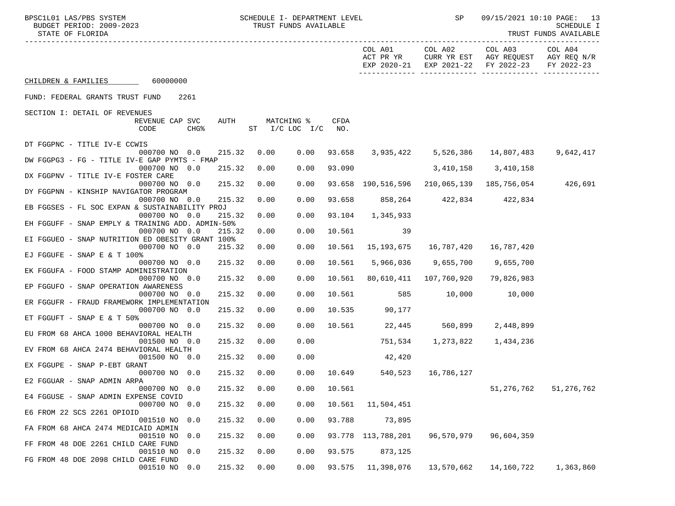| BPSC1L01 LAS/PBS SYSTEM<br>BUDGET PERIOD: 2009-2023<br>STATE OF FLORIDA     |      | SCHEDULE I- DEPARTMENT LEVEL<br>TRUST FUNDS AVAILABLE |                    |                      | SP                             |                                                                                      | 09/15/2021 10:10 PAGE: 13<br>SCHEDULE I<br>TRUST FUNDS AVAILABLE |
|-----------------------------------------------------------------------------|------|-------------------------------------------------------|--------------------|----------------------|--------------------------------|--------------------------------------------------------------------------------------|------------------------------------------------------------------|
|                                                                             |      |                                                       |                    | COL A01<br>ACT PR YR | COL A02                        | COL A03<br>CURR YR EST AGY REQUEST AGY REQ N/R<br>EXP 2020-21 EXP 2021-22 FY 2022-23 | COL A04<br>FY 2022-23                                            |
| CHILDREN & FAMILIES 60000000                                                |      |                                                       |                    |                      |                                |                                                                                      |                                                                  |
| FUND: FEDERAL GRANTS TRUST FUND<br>2261                                     |      |                                                       |                    |                      |                                |                                                                                      |                                                                  |
| SECTION I: DETAIL OF REVENUES                                               |      |                                                       |                    |                      |                                |                                                                                      |                                                                  |
| REVENUE CAP SVC<br>CODE<br>CHG <sup>8</sup>                                 | AUTH | MATCHING %<br>ST I/C LOC I/C                          | <b>CFDA</b><br>NO. |                      |                                |                                                                                      |                                                                  |
| DT FGGPNC - TITLE IV-E CCWIS                                                |      |                                                       |                    |                      |                                |                                                                                      |                                                                  |
| 000700 NO 0.0<br>215.32<br>DW FGGPG3 - FG - TITLE IV-E GAP PYMTS - FMAP     | 0.00 | 0.00                                                  |                    |                      |                                | 93.658 3,935,422 5,526,386 14,807,483                                                | 9,642,417                                                        |
| 000700 NO 0.0<br>215.32                                                     | 0.00 | 0.00                                                  | 93.090             |                      | 3,410,158 3,410,158            |                                                                                      |                                                                  |
| DX FGGPNV - TITLE IV-E FOSTER CARE<br>000700 NO 0.0<br>215.32               | 0.00 | 0.00                                                  |                    |                      |                                | 93.658 190.516.596 210.065.139 185.756.054 426.691                                   |                                                                  |
| DY FGGPNN - KINSHIP NAVIGATOR PROGRAM                                       |      |                                                       |                    |                      |                                |                                                                                      |                                                                  |
| 000700 NO 0.0<br>215.32<br>EB FGGSES - FL SOC EXPAN & SUSTAINABILITY PROJ   | 0.00 | 0.00                                                  |                    |                      | 93.658 858,264 422,834 422,834 |                                                                                      |                                                                  |
| 000700 NO 0.0<br>215.32                                                     | 0.00 | 0.00                                                  | 93.104             | 1,345,933            |                                |                                                                                      |                                                                  |
| EH FGGUFF - SNAP EMPLY & TRAINING ADD. ADMIN-50%<br>000700 NO 0.0<br>215.32 | 0.00 | 0.00                                                  | 10.561             | $\sim$ 39            |                                |                                                                                      |                                                                  |
| EI FGGUEO - SNAP NUTRITION ED OBESITY GRANT 100%                            |      |                                                       |                    |                      |                                |                                                                                      |                                                                  |
| 000700 NO 0.0<br>215.32<br>EJ FGGUFE - SNAP E & T 100%                      | 0.00 | 0.00                                                  | 10.561             | 15,193,675           | 16,787,420                     | 16,787,420                                                                           |                                                                  |
| 000700 NO 0.0<br>215.32                                                     | 0.00 | 0.00                                                  | 10.561             | 5,966,036            | 9,655,700                      | 9,655,700                                                                            |                                                                  |
| EK FGGUFA - FOOD STAMP ADMINISTRATION<br>000700 NO 0.0<br>215.32            | 0.00 | 0.00                                                  | 10.561             |                      | 80,610,411  107,760,920        | 79,826,983                                                                           |                                                                  |
| EP FGGUFO - SNAP OPERATION AWARENESS                                        |      |                                                       |                    |                      |                                |                                                                                      |                                                                  |
| 000700 NO 0.0<br>215.32<br>ER FGGUFR - FRAUD FRAMEWORK IMPLEMENTATION       | 0.00 | 0.00                                                  | 10.561             | 585                  | 10,000                         | 10,000                                                                               |                                                                  |
| 000700 NO 0.0<br>215.32                                                     | 0.00 | 0.00                                                  | 10.535             | 90,177               |                                |                                                                                      |                                                                  |
| ET FGGUFT - SNAP E & T 50%<br>000700 NO 0.0<br>215.32                       | 0.00 | 0.00                                                  | 10.561             |                      | 22,445 560,899                 | 2,448,899                                                                            |                                                                  |
| EU FROM 68 AHCA 1000 BEHAVIORAL HEALTH                                      |      |                                                       |                    |                      |                                |                                                                                      |                                                                  |
| 001500 NO 0.0<br>215.32<br>EV FROM 68 AHCA 2474 BEHAVIORAL HEALTH           | 0.00 | 0.00                                                  |                    | 751,534              | 1,273,822                      | 1,434,236                                                                            |                                                                  |
| 001500 NO 0.0<br>215.32                                                     | 0.00 | 0.00                                                  |                    | 42,420               |                                |                                                                                      |                                                                  |
| EX FGGUPE - SNAP P-EBT GRANT<br>000700 NO 0.0<br>215.32                     | 0.00 | 0.00                                                  | 10.649             | 540,523              | 16,786,127                     |                                                                                      |                                                                  |
| E2 FGGUAR - SNAP ADMIN ARPA                                                 |      |                                                       |                    |                      |                                |                                                                                      |                                                                  |
| 215.32<br>000700 NO 0.0<br>E4 FGGUSE - SNAP ADMIN EXPENSE COVID             | 0.00 | 0.00                                                  | 10.561             |                      |                                | 51,276,762                                                                           | 51,276,762                                                       |
| 000700 NO<br>0.0<br>215.32                                                  | 0.00 | 0.00                                                  | 10.561             | 11,504,451           |                                |                                                                                      |                                                                  |
| E6 FROM 22 SCS 2261 OPIOID<br>215.32<br>001510 NO<br>0.0                    | 0.00 | 0.00                                                  | 93.788             | 73,895               |                                |                                                                                      |                                                                  |
| FA FROM 68 AHCA 2474 MEDICAID ADMIN<br>001510 NO<br>0.0<br>215.32           | 0.00 | 0.00                                                  | 93.778             | 113,788,201          | 96,570,979                     | 96,604,359                                                                           |                                                                  |
| FF FROM 48 DOE 2261 CHILD CARE FUND                                         |      |                                                       |                    |                      |                                |                                                                                      |                                                                  |
| 215.32<br>001510 NO<br>0.0<br>FG FROM 48 DOE 2098 CHILD CARE FUND           | 0.00 | 0.00                                                  | 93.575             | 873,125              |                                |                                                                                      |                                                                  |
| 215.32<br>001510 NO<br>0.0                                                  | 0.00 | 0.00                                                  | 93.575             | 11,398,076           | 13,570,662                     | 14,160,722                                                                           | 1,363,860                                                        |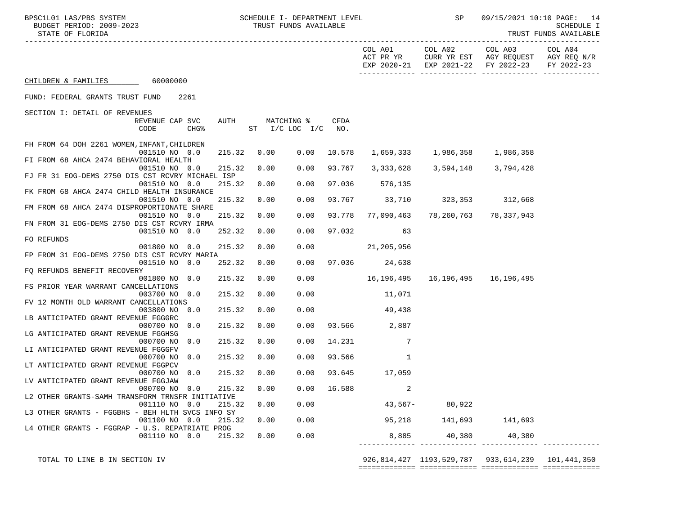| BPSC1L01 LAS/PBS SYSTEM<br>BUDGET PERIOD: 2009-2023<br>STATE OF FLORIDA     |      | SCHEDULE I- DEPARTMENT LEVEL<br>TRUST FUNDS AVAILABLE |        |                               | SP                                  |                                                                                              | 09/15/2021 10:10 PAGE: 14<br>SCHEDULE I<br>TRUST FUNDS AVAILABLE |  |
|-----------------------------------------------------------------------------|------|-------------------------------------------------------|--------|-------------------------------|-------------------------------------|----------------------------------------------------------------------------------------------|------------------------------------------------------------------|--|
|                                                                             |      |                                                       |        | COL A01<br>ACT PR YR          |                                     | COL A02 COL A03<br>CURR YR EST AGY REQUEST AGY REQ N/R<br>EXP 2020-21 EXP 2021-22 FY 2022-23 | COL A04<br>FY 2022-23                                            |  |
| CHILDREN & FAMILIES 60000000                                                |      |                                                       |        |                               |                                     |                                                                                              |                                                                  |  |
| FUND: FEDERAL GRANTS TRUST FUND<br>2261                                     |      |                                                       |        |                               |                                     |                                                                                              |                                                                  |  |
| SECTION I: DETAIL OF REVENUES                                               |      |                                                       |        |                               |                                     |                                                                                              |                                                                  |  |
| AUTH<br>REVENUE CAP SVC<br>CODE<br>CHG <sup>8</sup>                         |      | MATCHING %<br>ST I/C LOC I/C NO.                      | CFDA   |                               |                                     |                                                                                              |                                                                  |  |
| FH FROM 64 DOH 2261 WOMEN, INFANT, CHILDREN<br>001510 NO 0.0<br>215.32      | 0.00 | 0.00                                                  | 10.578 |                               | 1,659,333 1,986,358 1,986,358       |                                                                                              |                                                                  |  |
| FI FROM 68 AHCA 2474 BEHAVIORAL HEALTH                                      |      |                                                       |        |                               |                                     |                                                                                              |                                                                  |  |
| 001510 NO 0.0<br>215.32<br>FJ FR 31 EOG-DEMS 2750 DIS CST RCVRY MICHAEL ISP | 0.00 | 0.00                                                  | 93.767 |                               | 3, 333, 628 3, 594, 148 3, 794, 428 |                                                                                              |                                                                  |  |
| 001510 NO 0.0<br>215.32                                                     | 0.00 | 0.00                                                  | 97.036 | 576,135                       |                                     |                                                                                              |                                                                  |  |
| FK FROM 68 AHCA 2474 CHILD HEALTH INSURANCE                                 |      |                                                       |        |                               |                                     |                                                                                              |                                                                  |  |
| 001510 NO 0.0<br>215.32<br>FM FROM 68 AHCA 2474 DISPROPORTIONATE SHARE      | 0.00 | 0.00                                                  |        | 93.767 33,710 323,353 312,668 |                                     |                                                                                              |                                                                  |  |
| 215.32<br>001510 NO 0.0                                                     | 0.00 | 0.00                                                  |        | 93.778 77,090,463             |                                     | 78,260,763 78,337,943                                                                        |                                                                  |  |
| FN FROM 31 EOG-DEMS 2750 DIS CST RCVRY IRMA                                 |      |                                                       |        |                               |                                     |                                                                                              |                                                                  |  |
| 001510 NO 0.0<br>252.32<br>FO REFUNDS                                       | 0.00 | 0.00                                                  | 97.032 | 63                            |                                     |                                                                                              |                                                                  |  |
| 001800 NO 0.0<br>215.32                                                     | 0.00 | 0.00                                                  |        | 21,205,956                    |                                     |                                                                                              |                                                                  |  |
| FP FROM 31 EOG-DEMS 2750 DIS CST RCVRY MARIA                                |      |                                                       |        |                               |                                     |                                                                                              |                                                                  |  |
| 001510 NO 0.0<br>252.32                                                     | 0.00 | 0.00                                                  |        | 97.036 24,638                 |                                     |                                                                                              |                                                                  |  |
| FO REFUNDS BENEFIT RECOVERY<br>001800 NO 0.0<br>215.32                      | 0.00 | 0.00                                                  |        | 16,196,495                    |                                     | 16,196,495    16,196,495                                                                     |                                                                  |  |
| FS PRIOR YEAR WARRANT CANCELLATIONS                                         |      |                                                       |        |                               |                                     |                                                                                              |                                                                  |  |
| 003700 NO 0.0<br>215.32                                                     | 0.00 | 0.00                                                  |        | 11,071                        |                                     |                                                                                              |                                                                  |  |
| FV 12 MONTH OLD WARRANT CANCELLATIONS                                       |      |                                                       |        |                               |                                     |                                                                                              |                                                                  |  |
| 003800 NO 0.0<br>215.32                                                     | 0.00 | 0.00                                                  |        | 49,438                        |                                     |                                                                                              |                                                                  |  |
| LB ANTICIPATED GRANT REVENUE FGGGRC<br>000700 NO<br>0.0<br>215.32           | 0.00 | 0.00                                                  |        | 93.566 2,887                  |                                     |                                                                                              |                                                                  |  |
| LG ANTICIPATED GRANT REVENUE FGGHSG                                         |      |                                                       |        |                               |                                     |                                                                                              |                                                                  |  |
| 215.32<br>000700 NO<br>0.0                                                  | 0.00 | 0.00                                                  | 14.231 | 7                             |                                     |                                                                                              |                                                                  |  |
| LI ANTICIPATED GRANT REVENUE FGGGFV                                         |      |                                                       |        |                               |                                     |                                                                                              |                                                                  |  |
| 000700 NO<br>0.0<br>215.32<br>LT ANTICIPATED GRANT REVENUE FGGPCV           | 0.00 | 0.00                                                  | 93.566 | 1                             |                                     |                                                                                              |                                                                  |  |
| 000700 NO 0.0<br>215.32                                                     | 0.00 | 0.00                                                  | 93.645 | 17,059                        |                                     |                                                                                              |                                                                  |  |
| LV ANTICIPATED GRANT REVENUE FGGJAW                                         |      |                                                       |        |                               |                                     |                                                                                              |                                                                  |  |
| 000700 NO 0.0<br>215.32                                                     | 0.00 | 0.00                                                  | 16.588 | 2                             |                                     |                                                                                              |                                                                  |  |
| L2 OTHER GRANTS-SAMH TRANSFORM TRNSFR INITIATIVE                            |      |                                                       |        |                               |                                     |                                                                                              |                                                                  |  |
| 001110 NO 0.0<br>215.32<br>L3 OTHER GRANTS - FGGBHS - BEH HLTH SVCS INFO SY | 0.00 | 0.00                                                  |        | $43,567-$                     | 80,922                              |                                                                                              |                                                                  |  |
| 001100 NO 0.0<br>215.32                                                     | 0.00 | 0.00                                                  |        | 95,218                        | 141,693                             | 141,693                                                                                      |                                                                  |  |
| L4 OTHER GRANTS - FGGRAP - U.S. REPATRIATE PROG                             |      |                                                       |        |                               |                                     |                                                                                              |                                                                  |  |
| 001110 NO 0.0<br>215.32                                                     | 0.00 | 0.00                                                  |        | 8,885                         | 40,380                              | 40,380                                                                                       |                                                                  |  |

 TOTAL TO LINE B IN SECTION IV 926,814,427 1193,529,787 933,614,239 101,441,350 ============= ============= ============= =============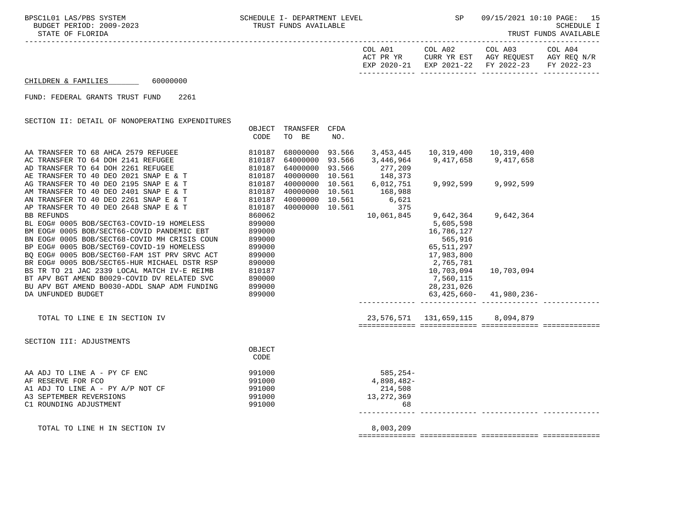-----------------------------------------------------------------------------------------------------------------------------------

| EXP 2020-21 EXP 2021-22 FY 2022-23 FY 2022-23 |
|-----------------------------------------------|
|-----------------------------------------------|

============= ============= ============= =============

## $CHILDREN & FAMILIES$  60000000

FUND: FEDERAL GRANTS TRUST FUND 2261

SECTION II: DETAIL OF NONOPERATING EXPENDITURES

|                                                                                                                                                                                                                                                                                                           | OBJECT<br>CODE                                                     | TRANSFER<br>TO BE                                                        | CFDA<br>NO.                |                                                          |                                                                                            |            |  |
|-----------------------------------------------------------------------------------------------------------------------------------------------------------------------------------------------------------------------------------------------------------------------------------------------------------|--------------------------------------------------------------------|--------------------------------------------------------------------------|----------------------------|----------------------------------------------------------|--------------------------------------------------------------------------------------------|------------|--|
| AA TRANSFER TO 68 AHCA 2579 REFUGEE<br>AC TRANSFER TO 64 DOH 2141 REFUGEE<br>AD TRANSFER TO 64 DOH 2261 REFUGEE<br>AE TRANSFER TO 40 DEO 2021 SNAP E & T                                                                                                                                                  | 810187<br>810187<br>810187<br>810187                               | 68000000<br>64000000<br>64000000<br>40000000 10.561                      | 93.566<br>93.566<br>93.566 | 3,453,445<br>3,446,964<br>277,209<br>148,373             | 10,319,400 10,319,400<br>9,417,658 9,417,658                                               |            |  |
| AG TRANSFER TO 40 DEO 2195 SNAP E & T<br>AM TRANSFER TO 40 DEO 2401 SNAP E & T<br>AN TRANSFER TO 40 DEO 2261 SNAP E & T<br>AP TRANSFER TO 40 DEO 2648 SNAP E & T                                                                                                                                          | 810187<br>810187<br>810187<br>810187                               | 40000000 10.561<br>40000000 10.561<br>40000000 10.561<br>40000000 10.561 |                            | 6,012,751<br>168,988<br>6,621<br>375                     | 9,992,599 9,992,599                                                                        |            |  |
| <b>BB REFUNDS</b><br>BL EOG# 0005 BOB/SECT63-COVID-19 HOMELESS<br>BM EOG# 0005 BOB/SECT66-COVID PANDEMIC EBT<br>BN EOG# 0005 BOB/SECT68-COVID MH CRISIS COUN<br>BP EOG# 0005 BOB/SECT69-COVID-19 HOMELESS<br>BO EOG# 0005 BOB/SECT60-FAM 1ST PRV SRVC ACT<br>BR EOG# 0005 BOB/SECT65-HUR MICHAEL DSTR RSP | 860062<br>899000<br>899000<br>899000<br>899000<br>899000<br>890000 |                                                                          |                            | 10,061,845                                               | 9,642,364<br>5,605,598<br>16,786,127<br>565,916<br>65, 511, 297<br>17,983,800<br>2,765,781 | 9,642,364  |  |
| BS TR TO 21 JAC 2339 LOCAL MATCH IV-E REIMB<br>BT APV BGT AMEND B0029-COVID DV RELATED SVC<br>BU APV BGT AMEND B0030-ADDL SNAP ADM FUNDING<br>DA UNFUNDED BUDGET                                                                                                                                          | 810187<br>890000<br>899000<br>899000                               |                                                                          |                            |                                                          | 10,703,094<br>7,560,115<br>28,231,026<br>$63,425,660 - 41,980,236 -$                       | 10,703,094 |  |
| TOTAL TO LINE E IN SECTION IV                                                                                                                                                                                                                                                                             |                                                                    |                                                                          |                            |                                                          | 23,576,571  131,659,115  8,094,879                                                         |            |  |
| SECTION III: ADJUSTMENTS                                                                                                                                                                                                                                                                                  | OBJECT<br>CODE                                                     |                                                                          |                            |                                                          |                                                                                            |            |  |
| AA ADJ TO LINE A - PY CF ENC<br>AF RESERVE FOR FCO<br>A1 ADJ TO LINE A - PY A/P NOT CF<br>A3 SEPTEMBER REVERSIONS<br>C1 ROUNDING ADJUSTMENT                                                                                                                                                               | 991000<br>991000<br>991000<br>991000<br>991000                     |                                                                          |                            | $585, 254-$<br>4,898,482-<br>214,508<br>13,272,369<br>68 |                                                                                            |            |  |
| TOTAL TO LINE H IN SECTION IV                                                                                                                                                                                                                                                                             |                                                                    |                                                                          |                            | 8,003,209                                                |                                                                                            |            |  |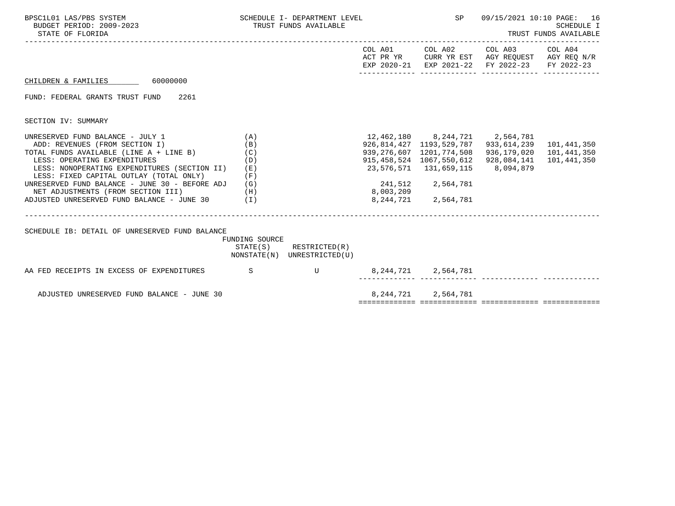| BPSC1L01 LAS/PBS SYSTEM<br>BUDGET PERIOD: 2009-2023<br>STATE OF FLORIDA                                                                                                                                                                                                                                                                                                                    |                                        | SCHEDULE I- DEPARTMENT LEVEL<br>TRUST FUNDS AVAILABLE      |           |                                                                                                                                                  | SP 09/15/2021 10:10 PAGE: 16<br>TRUST FUNDS AVAILABLE                                                                             | SCHEDULE I                 |
|--------------------------------------------------------------------------------------------------------------------------------------------------------------------------------------------------------------------------------------------------------------------------------------------------------------------------------------------------------------------------------------------|----------------------------------------|------------------------------------------------------------|-----------|--------------------------------------------------------------------------------------------------------------------------------------------------|-----------------------------------------------------------------------------------------------------------------------------------|----------------------------|
|                                                                                                                                                                                                                                                                                                                                                                                            |                                        |                                                            |           |                                                                                                                                                  | COL A01 COL A02 COL A03 COL A04<br>ACT PR YR CURR YR EST AGY REQUEST AGY REQ N/R<br>EXP 2020-21 EXP 2021-22 FY 2022-23 FY 2022-23 |                            |
| CHILDREN & FAMILIES 60000000                                                                                                                                                                                                                                                                                                                                                               |                                        |                                                            |           |                                                                                                                                                  |                                                                                                                                   |                            |
| FUND: FEDERAL GRANTS TRUST FUND 2261                                                                                                                                                                                                                                                                                                                                                       |                                        |                                                            |           |                                                                                                                                                  |                                                                                                                                   |                            |
| SECTION IV: SUMMARY                                                                                                                                                                                                                                                                                                                                                                        |                                        |                                                            |           |                                                                                                                                                  |                                                                                                                                   |                            |
| UNRESERVED FUND BALANCE - JULY 1<br>ADD: REVENUES (FROM SECTION I)<br>TOTAL FUNDS AVAILABLE (LINE A + LINE B) (C)<br>LESS: OPERATING EXPENDITURES<br>LESS: NONOPERATING EXPENDITURES (SECTION II)<br>LESS: FIXED CAPITAL OUTLAY (TOTAL ONLY)<br>UNRESERVED FUND BALANCE - JUNE 30 - BEFORE ADJ<br>NET ADJUSTMENTS (FROM SECTION III) (H)<br>ADJUSTED UNRESERVED FUND BALANCE - JUNE 30 (I) | (A)<br>(B)<br>(D)<br>(E)<br>(F)<br>(G) |                                                            | 8,003,209 | 12,462,180 8,244,721 2,564,781<br>939,276,607 1201,774,508<br>23,576,571  131,659,115  8,094,879<br>241,512 2,564,781<br>8, 244, 721 2, 564, 781 | 926,814,427 1193,529,787 933,614,239<br>936,179,020 101,441,350<br>915,458,524 1067,550,612 928,084,141                           | 101,441,350<br>101,441,350 |
| SCHEDULE IB: DETAIL OF UNRESERVED FUND BALANCE                                                                                                                                                                                                                                                                                                                                             | FUNDING SOURCE                         | $STATE(S)$ RESTRICTED $(R)$<br>NONSTATE(N) UNRESTRICTED(U) |           |                                                                                                                                                  |                                                                                                                                   |                            |
| AA FED RECEIPTS IN EXCESS OF EXPENDITURES S                                                                                                                                                                                                                                                                                                                                                |                                        | U 8,244,721 2,564,781                                      |           |                                                                                                                                                  |                                                                                                                                   |                            |
| ADJUSTED UNRESERVED FUND BALANCE - JUNE 30                                                                                                                                                                                                                                                                                                                                                 |                                        |                                                            |           | 8, 244, 721 2, 564, 781                                                                                                                          |                                                                                                                                   |                            |
|                                                                                                                                                                                                                                                                                                                                                                                            |                                        |                                                            |           |                                                                                                                                                  |                                                                                                                                   |                            |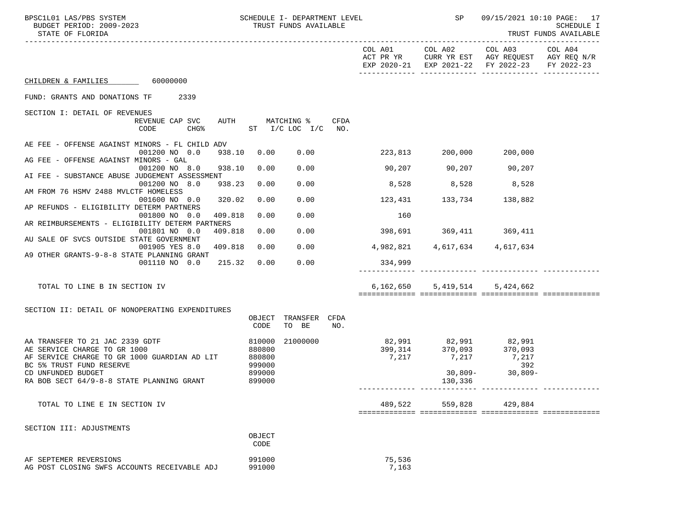| BPSC1L01 LAS/PBS SYSTEM<br>BUDGET PERIOD: 2009-2023<br>STATE OF FLORIDA      | SCHEDULE I- DEPARTMENT LEVEL<br>TRUST FUNDS AVAILABLE |                                       |      |                               |                         | SP 09/15/2021 10:10 PAGE: 17                                                                         | SCHEDULE I<br>TRUST FUNDS AVAILABLE |
|------------------------------------------------------------------------------|-------------------------------------------------------|---------------------------------------|------|-------------------------------|-------------------------|------------------------------------------------------------------------------------------------------|-------------------------------------|
|                                                                              |                                                       |                                       |      | COL A01<br>ACT PR YR          |                         | COL A02 COL A03 COL A04<br>CURR YR EST AGY REQUEST AGY REQ N/R<br>EXP 2020-21 EXP 2021-22 FY 2022-23 | FY 2022-23                          |
| CHILDREN & FAMILIES 60000000                                                 |                                                       |                                       |      |                               |                         |                                                                                                      |                                     |
| FUND: GRANTS AND DONATIONS TF 2339                                           |                                                       |                                       |      |                               |                         |                                                                                                      |                                     |
| SECTION I: DETAIL OF REVENUES                                                |                                                       |                                       |      |                               |                         |                                                                                                      |                                     |
| REVENUE CAP SVC<br>CODE<br>CHG%                                              |                                                       | AUTH MATCHING %<br>ST I/C LOC I/C NO. | CFDA |                               |                         |                                                                                                      |                                     |
| AE FEE - OFFENSE AGAINST MINORS - FL CHILD ADV<br>001200 NO 0.0<br>938.10    | 0.00                                                  | 0.00                                  |      |                               | 223,813 200,000 200,000 |                                                                                                      |                                     |
| AG FEE - OFFENSE AGAINST MINORS - GAL<br>001200 NO 8.0<br>938.10             | 0.00                                                  | 0.00                                  |      | $90,207$ $90,207$ $90,207$    |                         |                                                                                                      |                                     |
| AI FEE - SUBSTANCE ABUSE JUDGEMENT ASSESSMENT                                |                                                       |                                       |      |                               |                         |                                                                                                      |                                     |
| 001200 NO 8.0<br>938.23<br>AM FROM 76 HSMV 2488 MVLCTF HOMELESS              | 0.00                                                  | 0.00                                  |      | 8,528 8,528 8,528             |                         |                                                                                                      |                                     |
| 001600 NO 0.0<br>320.02                                                      | 0.00                                                  | 0.00                                  |      | 123,431                       | 133,734                 | 138,882                                                                                              |                                     |
| AP REFUNDS - ELIGIBILITY DETERM PARTNERS<br>001800 NO 0.0<br>409.818         | 0.00                                                  | 0.00                                  |      | 160                           |                         |                                                                                                      |                                     |
| AR REIMBURSEMENTS - ELIGIBILITY DETERM PARTNERS<br>001801 NO 0.0<br>409.818  | 0.00                                                  | 0.00                                  |      | 398,691 369,411 369,411       |                         |                                                                                                      |                                     |
| AU SALE OF SVCS OUTSIDE STATE GOVERNMENT                                     |                                                       |                                       |      |                               |                         |                                                                                                      |                                     |
| 409.818<br>001905 YES 8.0<br>A9 OTHER GRANTS-9-8-8 STATE PLANNING GRANT      | 0.00                                                  | 0.00                                  |      | 4,982,821 4,617,634 4,617,634 |                         |                                                                                                      |                                     |
| 001110 NO 0.0 215.32                                                         | 0.00                                                  | 0.00                                  |      | 334,999                       |                         |                                                                                                      |                                     |
| TOTAL TO LINE B IN SECTION IV                                                |                                                       |                                       |      | 6,162,650                     |                         | 5, 419, 514 5, 424, 662                                                                              |                                     |
| SECTION II: DETAIL OF NONOPERATING EXPENDITURES                              |                                                       |                                       |      |                               |                         |                                                                                                      |                                     |
|                                                                              | OBJECT<br>CODE                                        | TRANSFER CFDA<br>TO BE                | NO.  |                               |                         |                                                                                                      |                                     |
| AA TRANSFER TO 21 JAC 2339 GDTF                                              | 810000                                                | 21000000                              |      |                               |                         |                                                                                                      |                                     |
| AE SERVICE CHARGE TO GR 1000<br>AF SERVICE CHARGE TO GR 1000 GUARDIAN AD LIT | 880800<br>880800                                      |                                       |      |                               | 7,217 7,217 7,217       |                                                                                                      |                                     |
| BC 5% TRUST FUND RESERVE                                                     | 999000                                                |                                       |      |                               |                         | 392                                                                                                  |                                     |
| CD UNFUNDED BUDGET<br>RA BOB SECT 64/9-8-8 STATE PLANNING GRANT              | 899000<br>899000                                      |                                       |      |                               | 130,336                 | $30,809 - 30,809 -$                                                                                  |                                     |
| TOTAL TO LINE E IN SECTION IV                                                |                                                       |                                       |      | 489,522                       | 559,828                 | 429,884                                                                                              |                                     |
|                                                                              |                                                       |                                       |      |                               |                         |                                                                                                      |                                     |
| SECTION III: ADJUSTMENTS                                                     | OBJECT<br>CODE                                        |                                       |      |                               |                         |                                                                                                      |                                     |
| AF SEPTEMER REVERSIONS<br>AG POST CLOSING SWFS ACCOUNTS RECEIVABLE ADJ       | 991000<br>991000                                      |                                       |      | 75,536<br>7,163               |                         |                                                                                                      |                                     |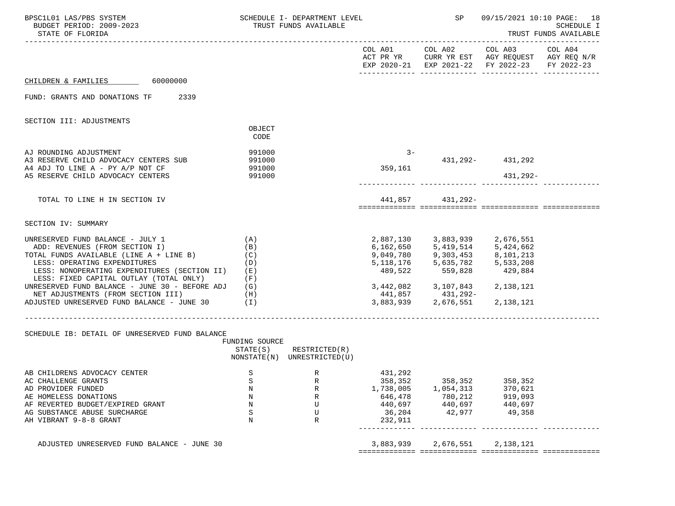| BPSC1L01 LAS/PBS SYSTEM<br>BUDGET PERIOD: 2009-2023<br>STATE OF FLORIDA                                                                                                                                                                                                                              |                                 | SCHEDULE I- DEPARTMENT LEVEL<br>TRUST FUNDS AVAILABLE      |                                                                            | SP                                                                                                                                                                                                                                                                                                                                                                       | 09/15/2021 10:10 PAGE: 18                                                                                                                                                                                                                                                                                                                                                                                                                                                                                                                  | SCHEDULE I<br>TRUST FUNDS AVAILABLE |
|------------------------------------------------------------------------------------------------------------------------------------------------------------------------------------------------------------------------------------------------------------------------------------------------------|---------------------------------|------------------------------------------------------------|----------------------------------------------------------------------------|--------------------------------------------------------------------------------------------------------------------------------------------------------------------------------------------------------------------------------------------------------------------------------------------------------------------------------------------------------------------------|--------------------------------------------------------------------------------------------------------------------------------------------------------------------------------------------------------------------------------------------------------------------------------------------------------------------------------------------------------------------------------------------------------------------------------------------------------------------------------------------------------------------------------------------|-------------------------------------|
|                                                                                                                                                                                                                                                                                                      |                                 |                                                            |                                                                            |                                                                                                                                                                                                                                                                                                                                                                          | $\begin{tabular}{lllllllllll} \multicolumn{4}{l}{{\small CDL A02}} & $\multicolumn{4}{l}{\small CDL A03} & $\multicolumn{4}{l}{\small CDL A04} \\ {\small ACT PR YR} & $\multicolumn{4}{l}{\small CDL A02} & $\multicolumn{4}{l}{\small CDL A03} & $\multicolumn{4}{l}{\small CDL A04} \\ \multicolumn{4}{l}{\small ACT PR YR} & $\multicolumn{4}{l}{\small CDL A02} & $\multicolumn{4}{l}{\small CDL A03} & $\multicolumn{4}{l}{\small CDL A04} \\ \multicolumn{4}{l}{\small ACT PR YR}$<br>EXP 2020-21 EXP 2021-22 FY 2022-23 FY 2022-23 |                                     |
| CHILDREN & FAMILIES 60000000                                                                                                                                                                                                                                                                         |                                 |                                                            |                                                                            |                                                                                                                                                                                                                                                                                                                                                                          |                                                                                                                                                                                                                                                                                                                                                                                                                                                                                                                                            |                                     |
| 2339<br>FUND: GRANTS AND DONATIONS TF                                                                                                                                                                                                                                                                |                                 |                                                            |                                                                            |                                                                                                                                                                                                                                                                                                                                                                          |                                                                                                                                                                                                                                                                                                                                                                                                                                                                                                                                            |                                     |
| SECTION III: ADJUSTMENTS                                                                                                                                                                                                                                                                             |                                 |                                                            |                                                                            |                                                                                                                                                                                                                                                                                                                                                                          |                                                                                                                                                                                                                                                                                                                                                                                                                                                                                                                                            |                                     |
|                                                                                                                                                                                                                                                                                                      | OBJECT<br>CODE                  |                                                            |                                                                            |                                                                                                                                                                                                                                                                                                                                                                          |                                                                                                                                                                                                                                                                                                                                                                                                                                                                                                                                            |                                     |
| AJ ROUNDING ADJUSTMENT<br>A3 RESERVE CHILD ADVOCACY CENTERS SUB<br>A4 ADJ TO LINE A - PY A/P NOT CF                                                                                                                                                                                                  | 991000<br>991000<br>991000      |                                                            | $3 -$<br>359,161                                                           |                                                                                                                                                                                                                                                                                                                                                                          | 431, 292- 431, 292                                                                                                                                                                                                                                                                                                                                                                                                                                                                                                                         |                                     |
| A5 RESERVE CHILD ADVOCACY CENTERS                                                                                                                                                                                                                                                                    | 991000                          |                                                            |                                                                            |                                                                                                                                                                                                                                                                                                                                                                          | 431,292-                                                                                                                                                                                                                                                                                                                                                                                                                                                                                                                                   |                                     |
| TOTAL TO LINE H IN SECTION IV                                                                                                                                                                                                                                                                        |                                 |                                                            |                                                                            | 441,857 431,292-                                                                                                                                                                                                                                                                                                                                                         |                                                                                                                                                                                                                                                                                                                                                                                                                                                                                                                                            |                                     |
| SECTION IV: SUMMARY                                                                                                                                                                                                                                                                                  |                                 |                                                            |                                                                            |                                                                                                                                                                                                                                                                                                                                                                          |                                                                                                                                                                                                                                                                                                                                                                                                                                                                                                                                            |                                     |
| UNRESERVED FUND BALANCE - JULY 1<br>ADD: REVENUES (FROM SECTION I)<br>TOTAL FUNDS AVAILABLE (LINE A + LINE B)<br>LESS: OPERATING EXPENDITURES<br>LESS: NONOPERATING EXPENDITURES (SECTION II) (E)<br>LESS: FIXED CAPITAL OUTLAY (TOTAL ONLY)<br>UNRESERVED FUND BALANCE - JUNE 30 - BEFORE ADJ $(G)$ | (A)<br>(B)<br>(C)<br>(D)<br>(F) |                                                            | 489,522                                                                    | $\begin{array}{llll} 2,887,130 & \quad & 3,883,939 & \quad & 2,676,551 \\ 6,162,650 & \quad & 5,419,514 & \quad & 5,424,662 \end{array}$<br>$\begin{array}{llll} 9\,, 049\,, 780 \qquad & 9\,, 303\,, 453 \qquad & 8\,, 101\,, 213 \\ 5\,, 118\,, 176 \qquad & 5\,, 635\,, 782 \qquad & 5\,, 533\,, 208 \end{array}$<br>559,828 429,884<br>3,442,082 3,107,843 2,138,121 |                                                                                                                                                                                                                                                                                                                                                                                                                                                                                                                                            |                                     |
| NET ADJUSTMENTS (FROM SECTION III) (H)<br>ADJUSTED UNRESERVED FUND BALANCE - JUNE 30 (I)                                                                                                                                                                                                             |                                 |                                                            | 441,857                                                                    | 431,292-<br>3,883,939 2,676,551 2,138,121                                                                                                                                                                                                                                                                                                                                |                                                                                                                                                                                                                                                                                                                                                                                                                                                                                                                                            |                                     |
| SCHEDULE IB: DETAIL OF UNRESERVED FUND BALANCE                                                                                                                                                                                                                                                       | FUNDING SOURCE                  | $STATE(S)$ RESTRICTED $(R)$<br>NONSTATE(N) UNRESTRICTED(U) |                                                                            |                                                                                                                                                                                                                                                                                                                                                                          |                                                                                                                                                                                                                                                                                                                                                                                                                                                                                                                                            |                                     |
| AB CHILDRENS ADVOCACY CENTER<br>AC CHALLENGE GRANTS<br>AD PROVIDER FUNDED<br>AE HOMELESS DONATIONS<br>AF REVERTED BUDGET/EXPIRED GRANT<br>AG SUBSTANCE ABUSE SURCHARGE<br>AH VIBRANT 9-8-8 GRANT                                                                                                     | S<br>S<br>Ν<br>N<br>N<br>S<br>N | R<br>R<br>R<br>R<br>U<br>U<br>R                            | 431,292<br>358,352<br>1,738,005<br>646,478<br>440,697<br>36,204<br>232,911 | 358,352<br>1,054,313<br>780,212<br>440,697<br>42,977                                                                                                                                                                                                                                                                                                                     | 358,352<br>370,621<br>$915,022$<br>440,697<br>49,358                                                                                                                                                                                                                                                                                                                                                                                                                                                                                       |                                     |
| ADJUSTED UNRESERVED FUND BALANCE - JUNE 30                                                                                                                                                                                                                                                           |                                 |                                                            | 3,883,939                                                                  | 2,676,551                                                                                                                                                                                                                                                                                                                                                                | 2,138,121                                                                                                                                                                                                                                                                                                                                                                                                                                                                                                                                  |                                     |
|                                                                                                                                                                                                                                                                                                      |                                 |                                                            |                                                                            |                                                                                                                                                                                                                                                                                                                                                                          |                                                                                                                                                                                                                                                                                                                                                                                                                                                                                                                                            |                                     |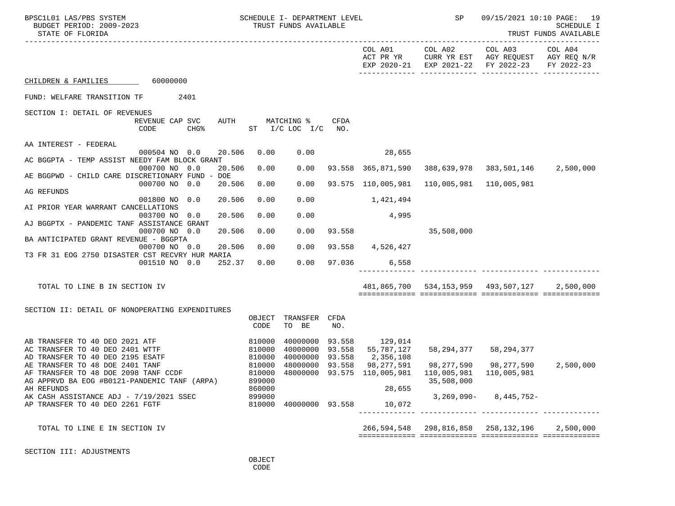|                |                                                                                                                                                                            |                                        |                                                                                             |                                                                                                                                                                                                                                                                            | SP<br>09/15/2021 10:10 PAGE: 19<br>TRUST FUNDS AVAILABLE                                                                          |                                                                                                                                                                                             |  |
|----------------|----------------------------------------------------------------------------------------------------------------------------------------------------------------------------|----------------------------------------|---------------------------------------------------------------------------------------------|----------------------------------------------------------------------------------------------------------------------------------------------------------------------------------------------------------------------------------------------------------------------------|-----------------------------------------------------------------------------------------------------------------------------------|---------------------------------------------------------------------------------------------------------------------------------------------------------------------------------------------|--|
|                |                                                                                                                                                                            |                                        |                                                                                             |                                                                                                                                                                                                                                                                            | COL A01 COL A02 COL A03 COL A04<br>ACT PR YR CURR YR EST AGY REQUEST AGY REQ N/R<br>EXP 2020-21 EXP 2021-22 FY 2022-23 FY 2022-23 |                                                                                                                                                                                             |  |
|                |                                                                                                                                                                            |                                        |                                                                                             |                                                                                                                                                                                                                                                                            |                                                                                                                                   |                                                                                                                                                                                             |  |
|                |                                                                                                                                                                            |                                        |                                                                                             |                                                                                                                                                                                                                                                                            |                                                                                                                                   |                                                                                                                                                                                             |  |
|                |                                                                                                                                                                            | CFDA<br>NO.                            |                                                                                             |                                                                                                                                                                                                                                                                            |                                                                                                                                   |                                                                                                                                                                                             |  |
|                |                                                                                                                                                                            |                                        |                                                                                             |                                                                                                                                                                                                                                                                            |                                                                                                                                   |                                                                                                                                                                                             |  |
|                |                                                                                                                                                                            |                                        |                                                                                             |                                                                                                                                                                                                                                                                            |                                                                                                                                   |                                                                                                                                                                                             |  |
| 0.00           | 0.00                                                                                                                                                                       |                                        |                                                                                             |                                                                                                                                                                                                                                                                            |                                                                                                                                   |                                                                                                                                                                                             |  |
|                |                                                                                                                                                                            |                                        |                                                                                             |                                                                                                                                                                                                                                                                            |                                                                                                                                   |                                                                                                                                                                                             |  |
|                |                                                                                                                                                                            |                                        |                                                                                             |                                                                                                                                                                                                                                                                            |                                                                                                                                   |                                                                                                                                                                                             |  |
| 0.00           | 0.00                                                                                                                                                                       |                                        |                                                                                             |                                                                                                                                                                                                                                                                            |                                                                                                                                   |                                                                                                                                                                                             |  |
|                |                                                                                                                                                                            |                                        |                                                                                             |                                                                                                                                                                                                                                                                            |                                                                                                                                   |                                                                                                                                                                                             |  |
|                |                                                                                                                                                                            |                                        |                                                                                             |                                                                                                                                                                                                                                                                            |                                                                                                                                   |                                                                                                                                                                                             |  |
| 0.00           | 0.00                                                                                                                                                                       |                                        |                                                                                             | 35,508,000                                                                                                                                                                                                                                                                 |                                                                                                                                   |                                                                                                                                                                                             |  |
|                |                                                                                                                                                                            |                                        |                                                                                             |                                                                                                                                                                                                                                                                            |                                                                                                                                   |                                                                                                                                                                                             |  |
|                |                                                                                                                                                                            |                                        |                                                                                             |                                                                                                                                                                                                                                                                            |                                                                                                                                   |                                                                                                                                                                                             |  |
| 0.00           | 0.00                                                                                                                                                                       |                                        |                                                                                             |                                                                                                                                                                                                                                                                            |                                                                                                                                   |                                                                                                                                                                                             |  |
|                |                                                                                                                                                                            |                                        |                                                                                             |                                                                                                                                                                                                                                                                            |                                                                                                                                   |                                                                                                                                                                                             |  |
|                |                                                                                                                                                                            |                                        |                                                                                             |                                                                                                                                                                                                                                                                            |                                                                                                                                   | 2,500,000                                                                                                                                                                                   |  |
|                |                                                                                                                                                                            |                                        |                                                                                             |                                                                                                                                                                                                                                                                            |                                                                                                                                   |                                                                                                                                                                                             |  |
| OBJECT<br>CODE | TO BE                                                                                                                                                                      | NO.                                    |                                                                                             |                                                                                                                                                                                                                                                                            |                                                                                                                                   |                                                                                                                                                                                             |  |
| 810000         |                                                                                                                                                                            |                                        |                                                                                             |                                                                                                                                                                                                                                                                            |                                                                                                                                   |                                                                                                                                                                                             |  |
| 810000         |                                                                                                                                                                            |                                        |                                                                                             |                                                                                                                                                                                                                                                                            |                                                                                                                                   |                                                                                                                                                                                             |  |
|                |                                                                                                                                                                            |                                        |                                                                                             |                                                                                                                                                                                                                                                                            |                                                                                                                                   | 2,500,000                                                                                                                                                                                   |  |
|                |                                                                                                                                                                            |                                        |                                                                                             |                                                                                                                                                                                                                                                                            |                                                                                                                                   |                                                                                                                                                                                             |  |
| 899000         |                                                                                                                                                                            |                                        |                                                                                             | 35,508,000                                                                                                                                                                                                                                                                 |                                                                                                                                   |                                                                                                                                                                                             |  |
|                |                                                                                                                                                                            |                                        |                                                                                             |                                                                                                                                                                                                                                                                            |                                                                                                                                   |                                                                                                                                                                                             |  |
|                |                                                                                                                                                                            |                                        | 10,072                                                                                      |                                                                                                                                                                                                                                                                            |                                                                                                                                   |                                                                                                                                                                                             |  |
|                |                                                                                                                                                                            |                                        |                                                                                             |                                                                                                                                                                                                                                                                            |                                                                                                                                   |                                                                                                                                                                                             |  |
|                |                                                                                                                                                                            |                                        |                                                                                             |                                                                                                                                                                                                                                                                            |                                                                                                                                   | 2,500,000                                                                                                                                                                                   |  |
|                | AUTH<br>20.506<br>0.00<br>20.506<br>20.506<br>0.00<br>20.506<br>0.00<br>20.506<br>20.506<br>0.00<br>20.506<br>001510 NO 0.0 252.37<br>810000<br>810000<br>860000<br>899000 | 0.00<br>0.00<br>0.00<br>0.00<br>810000 | MATCHING %<br>$ST$ $I/C$ $LOC$ $I/C$<br>TRANSFER CFDA<br>48000000 93.558<br>40000000 93.558 | 28,655<br>93.558 365,871,590<br>93.575 110,005,981<br>1,421,494<br>4,995<br>93.558<br>93.558 4,526,427<br>97.036 6,558<br>40000000 93.558 129,014<br>40000000 93.558 55,787,127<br>40000000 93.558 2,356,108<br>98,277,591<br>810000 48000000 93.575 110,005,981<br>28,655 | 266,594,548                                                                                                                       | 388,639,978 383,501,146 2,500,000<br>110,005,981    110,005,981<br>481,865,700 534,153,959 493,507,127<br>58, 294, 377 58, 294, 377<br>$3,269,090 - 8,445,752 -$<br>298,816,858 258,132,196 |  |

SECTION III: ADJUSTMENTS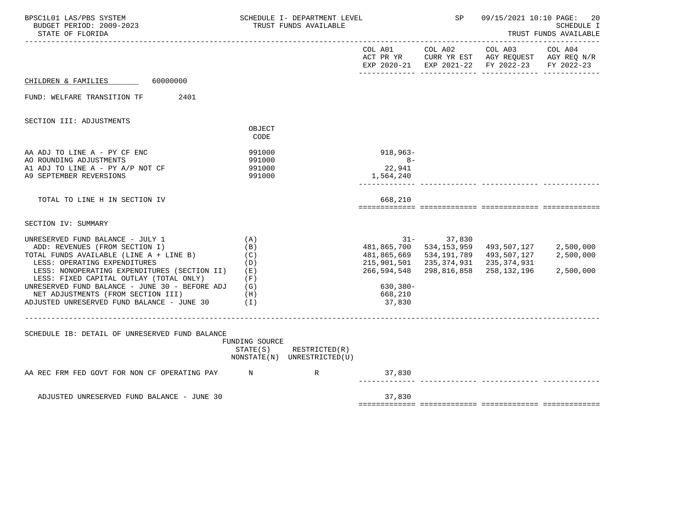| BPSC1L01 LAS/PBS SYSTEM<br>BUDGET PERIOD: 2009-2023<br>STATE OF FLORIDA                                                                                                                                                                                                                                                                                                        |                                                                         | SCHEDULE I- DEPARTMENT LEVEL<br>TRUST FUNDS AVAILABLE      |                                                                            | <b>SP</b>                                                                             |                                                                                                | 09/15/2021 10:10 PAGE: 20<br>SCHEDULE I<br>TRUST FUNDS AVAILABLE |  |
|--------------------------------------------------------------------------------------------------------------------------------------------------------------------------------------------------------------------------------------------------------------------------------------------------------------------------------------------------------------------------------|-------------------------------------------------------------------------|------------------------------------------------------------|----------------------------------------------------------------------------|---------------------------------------------------------------------------------------|------------------------------------------------------------------------------------------------|------------------------------------------------------------------|--|
|                                                                                                                                                                                                                                                                                                                                                                                |                                                                         |                                                            | COL A01                                                                    | COL A02                                                                               | COL A03<br>ACT PR YR CURR YR EST AGY REQUEST AGY REQ N/R<br>EXP 2020-21 EXP 2021-22 FY 2022-23 | COL A04<br>FY 2022-23                                            |  |
| CHILDREN & FAMILIES 60000000                                                                                                                                                                                                                                                                                                                                                   |                                                                         |                                                            |                                                                            |                                                                                       |                                                                                                |                                                                  |  |
| FUND: WELFARE TRANSITION TF<br>2401                                                                                                                                                                                                                                                                                                                                            |                                                                         |                                                            |                                                                            |                                                                                       |                                                                                                |                                                                  |  |
| SECTION III: ADJUSTMENTS                                                                                                                                                                                                                                                                                                                                                       | OBJECT<br>CODE                                                          |                                                            |                                                                            |                                                                                       |                                                                                                |                                                                  |  |
| AA ADJ TO LINE A - PY CF ENC<br>AO ROUNDING ADJUSTMENTS<br>A1 ADJ TO LINE A - PY A/P NOT CF<br>A9 SEPTEMBER REVERSIONS                                                                                                                                                                                                                                                         | 991000<br>991000<br>991000<br>991000                                    |                                                            | 918,963-<br>$8 -$<br>22,941<br>1,564,240                                   |                                                                                       |                                                                                                |                                                                  |  |
| TOTAL TO LINE H IN SECTION IV                                                                                                                                                                                                                                                                                                                                                  |                                                                         |                                                            | 668,210                                                                    |                                                                                       |                                                                                                |                                                                  |  |
| SECTION IV: SUMMARY                                                                                                                                                                                                                                                                                                                                                            |                                                                         |                                                            |                                                                            |                                                                                       |                                                                                                |                                                                  |  |
| UNRESERVED FUND BALANCE - JULY 1<br>ADD: REVENUES (FROM SECTION I)<br>TOTAL FUNDS AVAILABLE (LINE A + LINE B)<br>LESS: OPERATING EXPENDITURES<br>LESS: NONOPERATING EXPENDITURES (SECTION II)<br>LESS: FIXED CAPITAL OUTLAY (TOTAL ONLY)<br>UNRESERVED FUND BALANCE - JUNE 30 - BEFORE ADJ<br>NET ADJUSTMENTS (FROM SECTION III)<br>ADJUSTED UNRESERVED FUND BALANCE - JUNE 30 | (A)<br>(B)<br>(C)<br>(D)<br>( E )<br>(F)<br>(G)<br>(H)<br>$(\lrcorner)$ |                                                            | 481,865,669<br>215,901,501<br>266,594,548<br>630,380-<br>668,210<br>37,830 | $31 - 37,830$<br>481,865,700 534,153,959<br>534,191,789<br>235,374,931<br>298,816,858 | 493,507,127 2,500,000<br>493,507,127<br>235,374,931<br>258,132,196                             | 2,500,000<br>2,500,000                                           |  |
| SCHEDULE IB: DETAIL OF UNRESERVED FUND BALANCE                                                                                                                                                                                                                                                                                                                                 | FUNDING SOURCE                                                          | $STATE(S)$ RESTRICTED $(R)$<br>NONSTATE(N) UNRESTRICTED(U) |                                                                            |                                                                                       |                                                                                                |                                                                  |  |
| AA REC FRM FED GOVT FOR NON CF OPERATING PAY N N R                                                                                                                                                                                                                                                                                                                             |                                                                         |                                                            | 37,830                                                                     |                                                                                       |                                                                                                |                                                                  |  |
| ADJUSTED UNRESERVED FUND BALANCE - JUNE 30                                                                                                                                                                                                                                                                                                                                     |                                                                         |                                                            | 37,830                                                                     |                                                                                       |                                                                                                |                                                                  |  |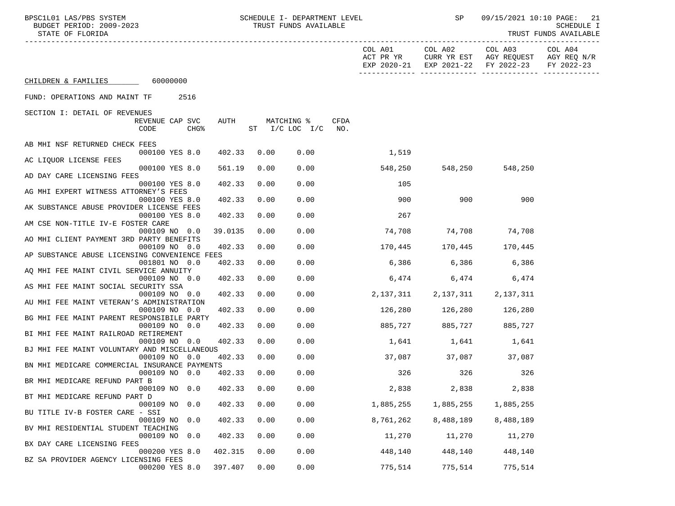| BPSC1L01 LAS/PBS SYSTEM<br>BUDGET PERIOD: 2009-2023<br>STATE OF FLORIDA |                         |                          |      | SCHEDULE I- DEPARTMENT LEVEL<br>TRUST FUNDS AVAILABLE |             |                      | SP                                  |                                                                          | 09/15/2021 10:10 PAGE: 21<br><b>SCHEDULE I</b><br>TRUST FUNDS AVAILABLE |
|-------------------------------------------------------------------------|-------------------------|--------------------------|------|-------------------------------------------------------|-------------|----------------------|-------------------------------------|--------------------------------------------------------------------------|-------------------------------------------------------------------------|
|                                                                         |                         |                          |      |                                                       |             | COL A01<br>ACT PR YR | COL A02                             | COL A03<br>CURR YR EST AGY REQUEST<br>EXP 2020-21 EXP 2021-22 FY 2022-23 | COL A04<br>AGY REQ N/R<br>FY 2022-23                                    |
| CHILDREN & FAMILIES 60000000                                            |                         |                          |      |                                                       |             |                      |                                     |                                                                          |                                                                         |
| FUND: OPERATIONS AND MAINT TF                                           | 2516                    |                          |      |                                                       |             |                      |                                     |                                                                          |                                                                         |
| SECTION I: DETAIL OF REVENUES                                           |                         |                          |      |                                                       |             |                      |                                     |                                                                          |                                                                         |
|                                                                         | REVENUE CAP SVC<br>CODE | AUTH<br>CHG <sup>8</sup> |      | MATCHING %<br>$ST$ $I/C$ LOC $I/C$                    | CFDA<br>NO. |                      |                                     |                                                                          |                                                                         |
| AB MHI NSF RETURNED CHECK FEES                                          |                         |                          |      |                                                       |             |                      |                                     |                                                                          |                                                                         |
| AC LIQUOR LICENSE FEES                                                  | 000100 YES 8.0          | 402.33                   | 0.00 | 0.00                                                  |             | 1,519                |                                     |                                                                          |                                                                         |
| AD DAY CARE LICENSING FEES                                              | 000100 YES 8.0          | 561.19                   | 0.00 | 0.00                                                  |             | 548,250              | 548,250                             | 548,250                                                                  |                                                                         |
|                                                                         | 000100 YES 8.0          | 402.33                   | 0.00 | 0.00                                                  |             | 105                  |                                     |                                                                          |                                                                         |
| AG MHI EXPERT WITNESS ATTORNEY'S FEES                                   | 000100 YES 8.0          | 402.33                   | 0.00 | 0.00                                                  |             | 900                  | 900                                 | 900                                                                      |                                                                         |
| AK SUBSTANCE ABUSE PROVIDER LICENSE FEES                                |                         |                          |      |                                                       |             |                      |                                     |                                                                          |                                                                         |
| AM CSE NON-TITLE IV-E FOSTER CARE                                       | 000100 YES 8.0          | 402.33                   | 0.00 | 0.00                                                  |             | 267                  |                                     |                                                                          |                                                                         |
|                                                                         | 000109 NO 0.0           | 39.0135                  | 0.00 | 0.00                                                  |             | 74,708               | 74,708 74,708                       |                                                                          |                                                                         |
| AO MHI CLIENT PAYMENT 3RD PARTY BENEFITS                                | 000109 NO 0.0           | 402.33                   | 0.00 | 0.00                                                  |             |                      | 170,445 170,445                     | 170,445                                                                  |                                                                         |
| AP SUBSTANCE ABUSE LICENSING CONVENIENCE FEES                           |                         |                          |      |                                                       |             |                      |                                     |                                                                          |                                                                         |
| AQ MHI FEE MAINT CIVIL SERVICE ANNUITY                                  | 001801 NO 0.0           | 402.33                   | 0.00 | 0.00                                                  |             |                      | 6,386 6,386 6,386                   |                                                                          |                                                                         |
|                                                                         | 000109 NO 0.0           | 402.33                   | 0.00 | 0.00                                                  |             |                      | 6,474                               | 6,474<br>6,474                                                           |                                                                         |
| AS MHI FEE MAINT SOCIAL SECURITY SSA                                    | 000109 NO 0.0           | 402.33                   | 0.00 | 0.00                                                  |             |                      | 2, 137, 311 2, 137, 311 2, 137, 311 |                                                                          |                                                                         |
| AU MHI FEE MAINT VETERAN'S ADMINISTRATION                               |                         |                          |      |                                                       |             |                      |                                     |                                                                          |                                                                         |
| BG MHI FEE MAINT PARENT RESPONSIBILE PARTY                              | 000109 NO 0.0           | 402.33                   | 0.00 | 0.00                                                  |             | 126,280              | 126,280                             | 126,280                                                                  |                                                                         |
|                                                                         | 000109 NO 0.0           | 402.33                   | 0.00 | 0.00                                                  |             | 885,727              | 885,727                             | 885,727                                                                  |                                                                         |
| BI MHI FEE MAINT RAILROAD RETIREMENT                                    | 000109 NO 0.0           | 402.33                   | 0.00 | 0.00                                                  |             |                      | 1,641 1,641 1,641                   |                                                                          |                                                                         |
| BJ MHI FEE MAINT VOLUNTARY AND MISCELLANEOUS                            |                         |                          |      |                                                       |             |                      |                                     |                                                                          |                                                                         |
| BN MHI MEDICARE COMMERCIAL INSURANCE PAYMENTS                           | 000109 NO 0.0           | 402.33                   | 0.00 | 0.00                                                  |             |                      |                                     |                                                                          |                                                                         |
|                                                                         | 000109 NO 0.0           | 402.33                   | 0.00 | 0.00                                                  |             | 326                  | 326                                 | 326                                                                      |                                                                         |
| BR MHI MEDICARE REFUND PART B                                           | 000109 NO 0.0           | 402.33                   | 0.00 | 0.00                                                  |             | 2,838                | 2,838                               | 2,838                                                                    |                                                                         |
| BT MHI MEDICARE REFUND PART D                                           |                         |                          |      |                                                       |             |                      |                                     |                                                                          |                                                                         |
| BU TITLE IV-B FOSTER CARE - SSI                                         | 000109 NO               | 0.0<br>402.33            | 0.00 | 0.00                                                  |             | 1,885,255            | 1,885,255                           | 1,885,255                                                                |                                                                         |
|                                                                         | 000109 NO               | 402.33<br>0.0            | 0.00 | 0.00                                                  |             | 8,761,262            | 8,488,189                           | 8,488,189                                                                |                                                                         |
| BV MHI RESIDENTIAL STUDENT TEACHING                                     | 000109 NO               | 0.0<br>402.33            | 0.00 | 0.00                                                  |             | 11,270               | 11,270                              | 11,270                                                                   |                                                                         |
| BX DAY CARE LICENSING FEES                                              |                         |                          |      |                                                       |             |                      |                                     |                                                                          |                                                                         |
| BZ SA PROVIDER AGENCY LICENSING FEES                                    | 000200 YES 8.0          | 402.315                  | 0.00 | 0.00                                                  |             | 448,140              | 448,140                             | 448,140                                                                  |                                                                         |
|                                                                         | 000200 YES 8.0          | 397.407                  | 0.00 | 0.00                                                  |             | 775,514              | 775,514                             | 775,514                                                                  |                                                                         |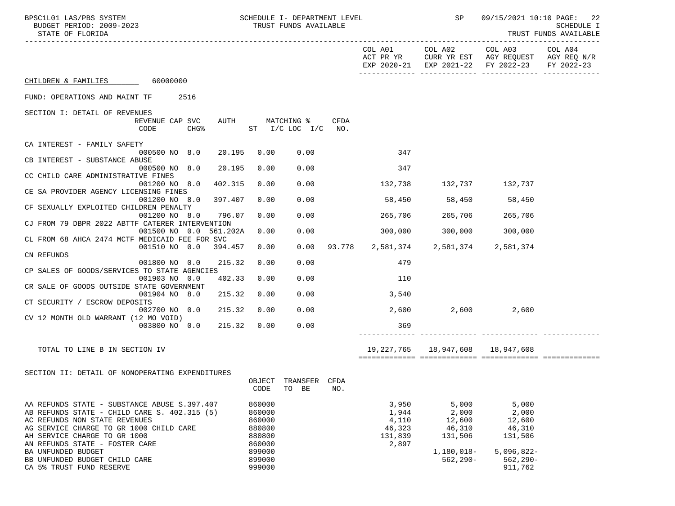| BPSC1L01 LAS/PBS SYSTEM<br>SCHEDULE I- DEPARTMENT LEVEL<br>BUDGET PERIOD: 2009-2023<br>STATE OF FLORIDA                                                                                                                                    |                                                | TRUST FUNDS AVAILABLE         |             |                                                       | <b>SP</b> SP                                  |                                                                                                                        | 09/15/2021 10:10 PAGE: 22<br><b>SCHEDULE I</b><br>TRUST FUNDS AVAILABLE |
|--------------------------------------------------------------------------------------------------------------------------------------------------------------------------------------------------------------------------------------------|------------------------------------------------|-------------------------------|-------------|-------------------------------------------------------|-----------------------------------------------|------------------------------------------------------------------------------------------------------------------------|-------------------------------------------------------------------------|
|                                                                                                                                                                                                                                            |                                                |                               |             |                                                       |                                               | COL A01 COL A02 COL A03 COL A04<br>ACT PR YR CURR YR EST AGY REQUEST AGY REQ N/R<br>EXP 2020-21 EXP 2021-22 FY 2022-23 | FY 2022-23                                                              |
| CHILDREN & FAMILIES 60000000                                                                                                                                                                                                               |                                                |                               |             |                                                       |                                               |                                                                                                                        |                                                                         |
| FUND: OPERATIONS AND MAINT TF 2516                                                                                                                                                                                                         |                                                |                               |             |                                                       |                                               |                                                                                                                        |                                                                         |
| SECTION I: DETAIL OF REVENUES                                                                                                                                                                                                              |                                                |                               |             |                                                       |                                               |                                                                                                                        |                                                                         |
| REVENUE CAP SVC<br>CODE<br><b>CHG&amp;</b>                                                                                                                                                                                                 | AUTH MATCHING %                                | ST I/C LOC I/C                | CFDA<br>NO. |                                                       |                                               |                                                                                                                        |                                                                         |
| CA INTEREST - FAMILY SAFETY<br>20.195<br>000500 NO 8.0                                                                                                                                                                                     | 0.00                                           | 0.00                          |             | 347                                                   |                                               |                                                                                                                        |                                                                         |
| CB INTEREST - SUBSTANCE ABUSE                                                                                                                                                                                                              |                                                |                               |             |                                                       |                                               |                                                                                                                        |                                                                         |
| 20.195<br>000500 NO 8.0<br>CC CHILD CARE ADMINISTRATIVE FINES                                                                                                                                                                              | 0.00                                           | 0.00                          |             | 347                                                   |                                               |                                                                                                                        |                                                                         |
| 001200 NO 8.0<br>402.315<br>CE SA PROVIDER AGENCY LICENSING FINES                                                                                                                                                                          | 0.00                                           | 0.00                          |             | 132,738                                               | 132,737 132,737                               |                                                                                                                        |                                                                         |
| 001200 NO 8.0<br>397.407<br>CF SEXUALLY EXPLOITED CHILDREN PENALTY                                                                                                                                                                         | 0.00                                           | 0.00                          |             |                                                       | 58,450 58,450 58,450                          |                                                                                                                        |                                                                         |
| 001200 NO 8.0<br>796.07<br>CJ FROM 79 DBPR 2022 ABTTF CATERER INTERVENTION                                                                                                                                                                 | 0.00                                           | 0.00                          |             | 265,706                                               | 265,706 265,706                               |                                                                                                                        |                                                                         |
| 001500 NO 0.0 561.202A                                                                                                                                                                                                                     | 0.00                                           | 0.00                          |             | 300,000                                               | 300,000                                       | 300,000                                                                                                                |                                                                         |
| CL FROM 68 AHCA 2474 MCTF MEDICAID FEE FOR SVC<br>001510 NO 0.0 394.457                                                                                                                                                                    | 0.00                                           | 0.00                          |             | 93.778 2,581,374 2,581,374 2,581,374                  |                                               |                                                                                                                        |                                                                         |
| CN REFUNDS<br>001800 NO 0.0<br>215.32                                                                                                                                                                                                      | 0.00                                           | 0.00                          |             | 479                                                   |                                               |                                                                                                                        |                                                                         |
| CP SALES OF GOODS/SERVICES TO STATE AGENCIES<br>001903 NO 0.0<br>402.33                                                                                                                                                                    | 0.00                                           | 0.00                          |             | 110                                                   |                                               |                                                                                                                        |                                                                         |
| CR SALE OF GOODS OUTSIDE STATE GOVERNMENT                                                                                                                                                                                                  |                                                |                               |             |                                                       |                                               |                                                                                                                        |                                                                         |
| 215.32<br>001904 NO 8.0<br>CT SECURITY / ESCROW DEPOSITS                                                                                                                                                                                   | 0.00                                           | 0.00                          |             | 3,540                                                 |                                               |                                                                                                                        |                                                                         |
| 215.32<br>002700 NO 0.0<br>CV 12 MONTH OLD WARRANT (12 MO VOID)                                                                                                                                                                            | 0.00                                           | 0.00                          |             | 2,600                                                 |                                               | 2,600<br>2,600                                                                                                         |                                                                         |
| 215.32<br>003800 NO 0.0                                                                                                                                                                                                                    | 0.00                                           | 0.00                          |             | 369                                                   |                                               |                                                                                                                        |                                                                         |
| TOTAL TO LINE B IN SECTION IV                                                                                                                                                                                                              |                                                |                               |             |                                                       | 19,227,765 18,947,608 18,947,608              |                                                                                                                        |                                                                         |
|                                                                                                                                                                                                                                            |                                                |                               |             |                                                       |                                               |                                                                                                                        |                                                                         |
| SECTION II: DETAIL OF NONOPERATING EXPENDITURES                                                                                                                                                                                            | CODE                                           | OBJECT TRANSFER CFDA<br>TO BE | NO.         |                                                       |                                               |                                                                                                                        |                                                                         |
| AA REFUNDS STATE - SUBSTANCE ABUSE S.397.407<br>AB REFUNDS STATE - CHILD CARE S. 402.315 (5)<br>AC REFUNDS NON STATE REVENUES<br>AG SERVICE CHARGE TO GR 1000 CHILD CARE<br>AH SERVICE CHARGE TO GR 1000<br>AN REFUNDS STATE - FOSTER CARE | 860000<br>860000<br>860000<br>880800<br>880800 |                               |             | 3,950<br>1,944<br>4,110<br>46,323<br>131,839<br>2,897 | 5,000<br>2,000<br>12,600<br>46,310<br>131,506 | 5,000<br>2,000<br>12,600<br>46,310<br>131,506                                                                          |                                                                         |
| BA UNFUNDED BUDGET<br>BB UNFUNDED BUDGET CHILD CARE                                                                                                                                                                                        | 860000<br>899000<br>899000                     |                               |             |                                                       | 1,180,018-<br>$562, 290 -$                    | $5,096,822-$<br>$562, 290 -$                                                                                           |                                                                         |
| CA 5% TRUST FUND RESERVE                                                                                                                                                                                                                   | 999000                                         |                               |             |                                                       |                                               | 911,762                                                                                                                |                                                                         |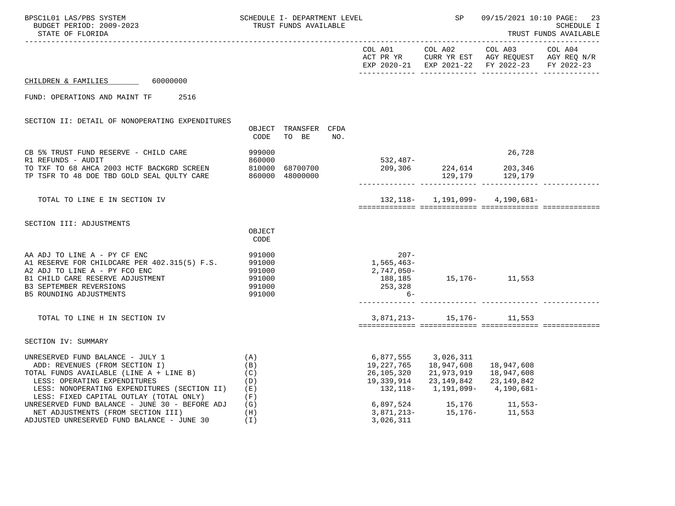| BPSC1L01 LAS/PBS SYSTEM<br>BUDGET PERIOD: 2009-2023<br>STATE OF FLORIDA                                                                                                                                                                                                                    |                                                 | SCHEDULE I- DEPARTMENT LEVEL<br>TRUST FUNDS AVAILABLE |     | SP SP                                                      | 09/15/2021 10:10 PAGE: 23<br>SCHEDULE I<br>TRUST FUNDS AVAILABLE |                                                                                                                                                |         |
|--------------------------------------------------------------------------------------------------------------------------------------------------------------------------------------------------------------------------------------------------------------------------------------------|-------------------------------------------------|-------------------------------------------------------|-----|------------------------------------------------------------|------------------------------------------------------------------|------------------------------------------------------------------------------------------------------------------------------------------------|---------|
|                                                                                                                                                                                                                                                                                            |                                                 |                                                       |     |                                                            |                                                                  | COL A01 COL A02 COL A03<br>ACT PR YR $\,$ CURR YR EST $\,$ AGY REQUEST $\,$ AGY REQ $\rm N/R$<br>EXP 2020-21 EXP 2021-22 FY 2022-23 FY 2022-23 | COL A04 |
| CHILDREN & FAMILIES 60000000                                                                                                                                                                                                                                                               |                                                 |                                                       |     |                                                            |                                                                  |                                                                                                                                                |         |
| 2516<br>FUND: OPERATIONS AND MAINT TF                                                                                                                                                                                                                                                      |                                                 |                                                       |     |                                                            |                                                                  |                                                                                                                                                |         |
| SECTION II: DETAIL OF NONOPERATING EXPENDITURES                                                                                                                                                                                                                                            | CODE                                            | OBJECT TRANSFER CFDA<br>TO BE                         | NO. |                                                            |                                                                  |                                                                                                                                                |         |
| CB 5% TRUST FUND RESERVE - CHILD CARE<br>R1 REFUNDS - AUDIT<br>TO TXF TO 68 AHCA 2003 HCTF BACKGRD SCREEN 810000 68700700<br>TP TSFR TO 48 DOE TBD GOLD SEAL QULTY CARE 860000 48000000                                                                                                    | 999000<br>860000                                | 68700700                                              |     |                                                            |                                                                  | 26,728                                                                                                                                         |         |
| TOTAL TO LINE E IN SECTION IV                                                                                                                                                                                                                                                              |                                                 |                                                       |     |                                                            |                                                                  | $132, 118 - 1, 191, 099 - 4, 190, 681 -$                                                                                                       |         |
| SECTION III: ADJUSTMENTS                                                                                                                                                                                                                                                                   | OBJECT<br>CODE                                  |                                                       |     |                                                            |                                                                  |                                                                                                                                                |         |
| AA ADJ TO LINE A - PY CF ENC<br>A1 RESERVE FOR CHILDCARE PER 402.315(5) F.S. 991000<br>A2 ADJ TO LINE A - PY FCO ENC<br>B1 CHILD CARE RESERVE ADJUSTMENT<br>B3 SEPTEMBER REVERSIONS<br>B5 ROUNDING ADJUSTMENTS                                                                             | 991000<br>991000<br>991000<br>991000<br>991000  |                                                       |     | $20/-$<br>1,565,463-<br>2,747,050-<br>$6-$                 | $188, 185$<br>253,328<br>253,328                                 |                                                                                                                                                |         |
| TOTAL TO LINE H IN SECTION IV                                                                                                                                                                                                                                                              |                                                 |                                                       |     |                                                            | $3,871,213-15,176-11,553$                                        |                                                                                                                                                |         |
| SECTION IV: SUMMARY                                                                                                                                                                                                                                                                        |                                                 |                                                       |     |                                                            |                                                                  |                                                                                                                                                |         |
| UNRESERVED FUND BALANCE - JULY 1<br>ADD: REVENUES (FROM SECTION I)<br>TOTAL FUNDS AVAILABLE (LINE A + LINE B)<br>LESS: OPERATING EXPENDITURES<br>LESS: NONOPERATING EXPENDITURES (SECTION II)<br>LESS: FIXED CAPITAL OUTLAY (TOTAL ONLY)<br>UNRESERVED FUND BALANCE - JUNE 30 - BEFORE ADJ | (A)<br>(B)<br>(C)<br>(D)<br>( E )<br>(F)<br>(G) |                                                       |     | 6,877,555 3,026,311<br>19,227,765 18,947,608<br>19,339,914 | 26,105,320 21,973,919 18,947,608<br>23,149,842 23,149,842        | 18,947,608<br>132,118- 1,191,099- 4,190,681-<br>$6,897,524$ $15,176$ $11,553-$<br>3,871,213- $15,176 11,553$                                   |         |
| NET ADJUSTMENTS (FROM SECTION III)<br>ADJUSTED UNRESERVED FUND BALANCE - JUNE 30                                                                                                                                                                                                           | (H)<br>(I)                                      |                                                       |     | 3,026,311                                                  |                                                                  |                                                                                                                                                |         |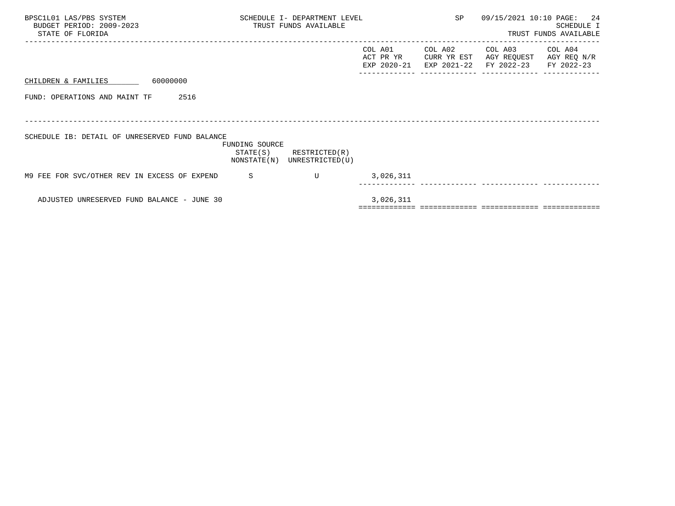| BPSC1L01 LAS/PBS SYSTEM<br>BUDGET PERIOD: 2009-2023<br>STATE OF FLORIDA | SCHEDULE I- DEPARTMENT LEVEL<br>TRUST FUNDS AVAILABLE |                                  |                                     | SP                                    | 09/15/2021 10:10 PAGE:               | 24<br>SCHEDULE I<br>TRUST FUNDS AVAILABLE |
|-------------------------------------------------------------------------|-------------------------------------------------------|----------------------------------|-------------------------------------|---------------------------------------|--------------------------------------|-------------------------------------------|
|                                                                         |                                                       |                                  | COL A01<br>ACT PR YR<br>EXP 2020-21 | COL A02<br>CURR YR EST<br>EXP 2021-22 | COL A03<br>AGY REQUEST<br>FY 2022-23 | COL A04<br>AGY REQ N/R<br>FY 2022-23      |
| 60000000<br>CHILDREN & FAMILIES                                         |                                                       |                                  |                                     |                                       |                                      |                                           |
| FUND: OPERATIONS AND MAINT TF<br>2516                                   |                                                       |                                  |                                     |                                       |                                      |                                           |
|                                                                         |                                                       |                                  |                                     |                                       |                                      |                                           |
| SCHEDULE IB: DETAIL OF UNRESERVED FUND BALANCE                          | FUNDING SOURCE<br>STATE(S)<br>NONSTATE(N)             | RESTRICTED(R)<br>UNRESTRICTED(U) |                                     |                                       |                                      |                                           |
| M9 FEE FOR SVC/OTHER REV IN EXCESS OF EXPEND                            | -S                                                    | $\mathbf{U}$                     | 3,026,311                           |                                       |                                      |                                           |
| ADJUSTED UNRESERVED FUND BALANCE - JUNE 30                              |                                                       |                                  | 3,026,311                           |                                       |                                      |                                           |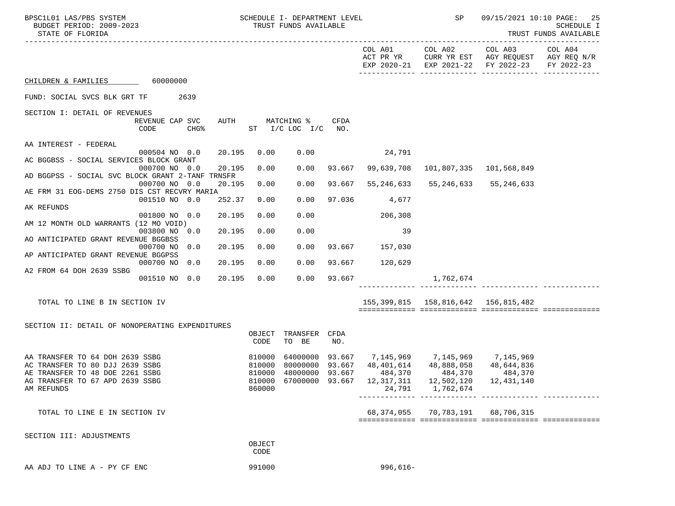| BPSC1L01 LAS/PBS SYSTEM<br>BUDGET PERIOD: 2009-2023<br>STATE OF FLORIDA |        |        |                  | SCHEDULE I- DEPARTMENT LEVEL<br>TRUST FUNDS AVAILABLE |        |                                                  | <b>SP</b>                                 | 09/15/2021 10:10 PAGE: 25<br>SCHEDULE I<br>TRUST FUNDS AVAILABLE                                                          |         |
|-------------------------------------------------------------------------|--------|--------|------------------|-------------------------------------------------------|--------|--------------------------------------------------|-------------------------------------------|---------------------------------------------------------------------------------------------------------------------------|---------|
|                                                                         |        |        |                  |                                                       |        |                                                  |                                           | COL A01 COL A02 COL A03<br>ACT PR YR CURR YR EST AGY REQUEST AGY REQ N/R<br>EXP 2020-21 EXP 2021-22 FY 2022-23 FY 2022-23 | COL A04 |
| CHILDREN & FAMILIES 60000000                                            |        |        |                  |                                                       |        |                                                  |                                           |                                                                                                                           |         |
| FUND: SOCIAL SVCS BLK GRT TF 2639                                       |        |        |                  |                                                       |        |                                                  |                                           |                                                                                                                           |         |
| SECTION I: DETAIL OF REVENUES                                           |        |        |                  |                                                       |        |                                                  |                                           |                                                                                                                           |         |
| REVENUE CAP SVC<br>CODE                                                 | $CHG\$ | AUTH   |                  | MATCHING %<br>ST $I/C$ LOC $I/C$ NO.                  | CFDA   |                                                  |                                           |                                                                                                                           |         |
| AA INTEREST - FEDERAL                                                   |        |        |                  |                                                       |        |                                                  |                                           |                                                                                                                           |         |
| 000504 NO 0.0                                                           |        | 20.195 | 0.00             | 0.00                                                  |        | 24,791                                           |                                           |                                                                                                                           |         |
| AC BGGBSS - SOCIAL SERVICES BLOCK GRANT<br>000700 NO 0.0                |        | 20.195 | 0.00             | 0.00                                                  |        | 93.667 99,639,708                                |                                           | 101,807,335 101,568,849                                                                                                   |         |
| AD BGGPSS - SOCIAL SVC BLOCK GRANT 2-TANF TRNSFR                        |        | 20.195 |                  |                                                       |        |                                                  |                                           |                                                                                                                           |         |
| 000700 NO 0.0<br>AE FRM 31 EOG-DEMS 2750 DIS CST RECVRY MARIA           |        |        | 0.00             | 0.00                                                  | 93.667 | 55,246,633                                       | 55,246,633 55,246,633                     |                                                                                                                           |         |
| 001510 NO 0.0                                                           |        | 252.37 | 0.00             | 0.00                                                  |        | 97.036 4,677                                     |                                           |                                                                                                                           |         |
| AK REFUNDS<br>001800 NO 0.0                                             |        | 20.195 | 0.00             | 0.00                                                  |        | 206,308                                          |                                           |                                                                                                                           |         |
| AM 12 MONTH OLD WARRANTS (12 MO VOID)                                   |        |        |                  |                                                       |        |                                                  |                                           |                                                                                                                           |         |
| 003800 NO 0.0<br>AO ANTICIPATED GRANT REVENUE BGGBSS                    |        | 20.195 | 0.00             | 0.00                                                  |        | 39                                               |                                           |                                                                                                                           |         |
| 000700 NO 0.0                                                           |        | 20.195 | 0.00             | 0.00                                                  |        | 93.667 157,030                                   |                                           |                                                                                                                           |         |
| AP ANTICIPATED GRANT REVENUE BGGPSS<br>000700 NO 0.0                    |        | 20.195 | 0.00             | 0.00                                                  |        | 93.667 120,629                                   |                                           |                                                                                                                           |         |
| A2 FROM 64 DOH 2639 SSBG                                                |        |        |                  |                                                       |        |                                                  |                                           |                                                                                                                           |         |
| 001510 NO 0.0                                                           |        | 20.195 | 0.00             | 0.00                                                  |        | 93.667                                           | 1,762,674                                 |                                                                                                                           |         |
|                                                                         |        |        |                  |                                                       |        |                                                  |                                           |                                                                                                                           |         |
| TOTAL TO LINE B IN SECTION IV                                           |        |        |                  |                                                       |        |                                                  | 155, 399, 815 158, 816, 642 156, 815, 482 |                                                                                                                           |         |
| SECTION II: DETAIL OF NONOPERATING EXPENDITURES                         |        |        |                  |                                                       |        |                                                  |                                           |                                                                                                                           |         |
|                                                                         |        |        | CODE             | OBJECT TRANSFER CFDA<br>TO BE                         | NO.    |                                                  |                                           |                                                                                                                           |         |
| AA TRANSFER TO 64 DOH 2639 SSBG                                         |        |        | 810000           |                                                       |        | 64000000 93.667 7,145,969 7,145,969 7,145,969    |                                           |                                                                                                                           |         |
| AC TRANSFER TO 80 DJJ 2639 SSBG                                         |        |        | 810000           |                                                       |        | 80000000 93.667 48,401,614 48,888,058 48,644,836 |                                           |                                                                                                                           |         |
| AE TRANSFER TO 48 DOE 2261 SSBG                                         |        |        |                  | 810000 48000000 93.667                                |        | 484,370                                          | 484,370                                   | 484,370                                                                                                                   |         |
| AG TRANSFER TO 67 APD 2639 SSBG<br>AM REFUNDS                           |        |        | 810000<br>860000 |                                                       |        | 67000000 93.667 12,317,311 12,502,120<br>24,791  | 1,762,674                                 | 12,431,140                                                                                                                |         |
| TOTAL TO LINE E IN SECTION IV                                           |        |        |                  |                                                       |        |                                                  | 68, 374, 055 70, 783, 191 68, 706, 315    |                                                                                                                           |         |
|                                                                         |        |        |                  |                                                       |        |                                                  |                                           |                                                                                                                           |         |
| SECTION III: ADJUSTMENTS                                                |        |        |                  |                                                       |        |                                                  |                                           |                                                                                                                           |         |
|                                                                         |        |        | OBJECT<br>CODE   |                                                       |        |                                                  |                                           |                                                                                                                           |         |
| AA ADJ TO LINE A - PY CF ENC                                            |        |        | 991000           |                                                       |        | $996,616-$                                       |                                           |                                                                                                                           |         |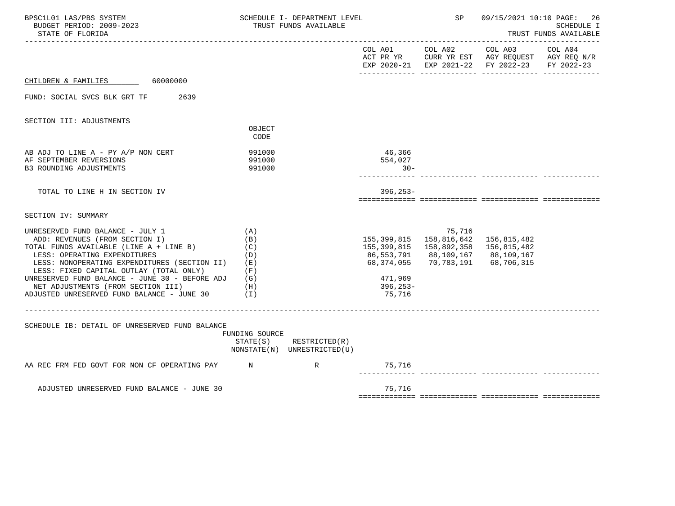| BPSC1L01 LAS/PBS SYSTEM<br>BUDGET PERIOD: 2009-2023<br>STATE OF FLORIDA                                                                                                                                                                                                                                                                                                                      | SCHEDULE I- DEPARTMENT LEVEL<br>TRUST FUNDS AVAILABLE |                                                            |  |                                                           | SP                                                                                                                     | 09/15/2021 10:10 PAGE: 26<br>SCHEDULE I<br>TRUST FUNDS AVAILABLE                               |                       |  |
|----------------------------------------------------------------------------------------------------------------------------------------------------------------------------------------------------------------------------------------------------------------------------------------------------------------------------------------------------------------------------------------------|-------------------------------------------------------|------------------------------------------------------------|--|-----------------------------------------------------------|------------------------------------------------------------------------------------------------------------------------|------------------------------------------------------------------------------------------------|-----------------------|--|
|                                                                                                                                                                                                                                                                                                                                                                                              |                                                       |                                                            |  |                                                           | COL A01 COL A02                                                                                                        | COL A03<br>ACT PR YR CURR YR EST AGY REQUEST AGY REQ N/R<br>EXP 2020-21 EXP 2021-22 FY 2022-23 | COL A04<br>FY 2022-23 |  |
| CHILDREN & FAMILIES 60000000                                                                                                                                                                                                                                                                                                                                                                 |                                                       |                                                            |  |                                                           |                                                                                                                        |                                                                                                |                       |  |
| FUND: SOCIAL SVCS BLK GRT TF 2639                                                                                                                                                                                                                                                                                                                                                            |                                                       |                                                            |  |                                                           |                                                                                                                        |                                                                                                |                       |  |
| SECTION III: ADJUSTMENTS                                                                                                                                                                                                                                                                                                                                                                     | OBJECT<br>CODE                                        |                                                            |  |                                                           |                                                                                                                        |                                                                                                |                       |  |
| AB ADJ TO LINE A - PY A/P NON CERT<br>AF SEPTEMBER REVERSIONS<br><b>B3 ROUNDING ADJUSTMENTS</b>                                                                                                                                                                                                                                                                                              | 991000<br>991000<br>991000                            |                                                            |  | 46,366<br>554,027<br>$30 -$                               |                                                                                                                        |                                                                                                |                       |  |
| TOTAL TO LINE H IN SECTION IV                                                                                                                                                                                                                                                                                                                                                                |                                                       |                                                            |  | $396.253 -$                                               |                                                                                                                        |                                                                                                |                       |  |
| SECTION IV: SUMMARY                                                                                                                                                                                                                                                                                                                                                                          |                                                       |                                                            |  |                                                           |                                                                                                                        |                                                                                                |                       |  |
| UNRESERVED FUND BALANCE - JULY 1<br>ADD: REVENUES (FROM SECTION I)<br>TOTAL FUNDS AVAILABLE (LINE A + LINE B)<br>LESS: OPERATING EXPENDITURES<br>LESS: NONOPERATING EXPENDITURES (SECTION II)<br>LESS: FIXED CAPITAL OUTLAY (TOTAL ONLY)<br>UNRESERVED FUND BALANCE - JUNE 30 - BEFORE ADJ $(G)$<br>NET ADJUSTMENTS (FROM SECTION III)<br>$ADJUSTED$ UNRESERVED FUND BALANCE - JUNE 30 $(1)$ | (A)<br>(B)<br>(C)<br>(D)<br>(E)<br>(F)<br>(H)         |                                                            |  | 86,553,791<br>68,374,055<br>471,969<br>396,253-<br>75,716 | 75,716<br>155, 399, 815 158, 816, 642 156, 815, 482<br>155,399,815 158,892,358<br>88,109,167  88,109,167<br>70,783,191 | 156,815,482<br>68,706,315                                                                      |                       |  |
| SCHEDULE IB: DETAIL OF UNRESERVED FUND BALANCE                                                                                                                                                                                                                                                                                                                                               | FUNDING SOURCE                                        | $STATE(S)$ RESTRICTED $(R)$<br>NONSTATE(N) UNRESTRICTED(U) |  |                                                           |                                                                                                                        |                                                                                                |                       |  |
| AA REC FRM FED GOVT FOR NON CF OPERATING PAY M                                                                                                                                                                                                                                                                                                                                               |                                                       | $\mathbb R$                                                |  | 75,716                                                    |                                                                                                                        |                                                                                                |                       |  |
| ADJUSTED UNRESERVED FUND BALANCE - JUNE 30                                                                                                                                                                                                                                                                                                                                                   |                                                       |                                                            |  | 75,716                                                    |                                                                                                                        |                                                                                                |                       |  |
|                                                                                                                                                                                                                                                                                                                                                                                              |                                                       |                                                            |  |                                                           |                                                                                                                        |                                                                                                |                       |  |